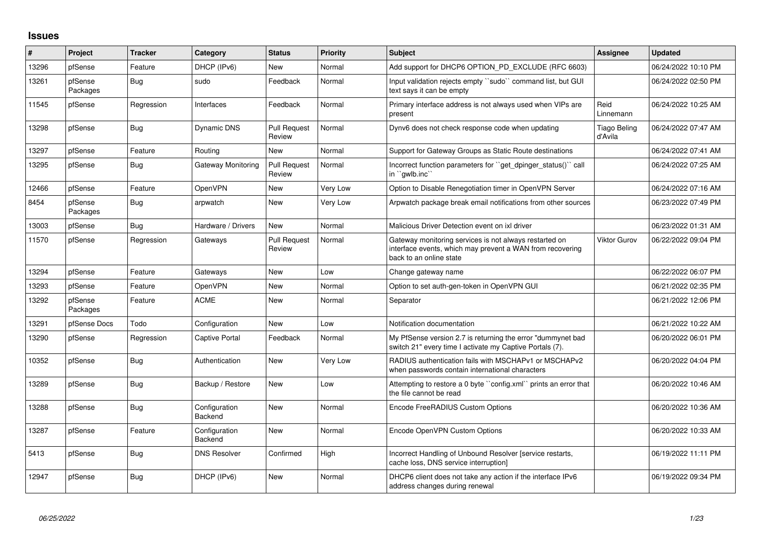## **Issues**

| #     | Project             | <b>Tracker</b> | Category                 | <b>Status</b>                 | <b>Priority</b> | <b>Subject</b>                                                                                                                                 | <b>Assignee</b>                | <b>Updated</b>      |
|-------|---------------------|----------------|--------------------------|-------------------------------|-----------------|------------------------------------------------------------------------------------------------------------------------------------------------|--------------------------------|---------------------|
| 13296 | pfSense             | Feature        | DHCP (IPv6)              | <b>New</b>                    | Normal          | Add support for DHCP6 OPTION_PD_EXCLUDE (RFC 6603)                                                                                             |                                | 06/24/2022 10:10 PM |
| 13261 | pfSense<br>Packages | Bug            | sudo                     | Feedback                      | Normal          | Input validation rejects empty "sudo" command list, but GUI<br>text says it can be empty                                                       |                                | 06/24/2022 02:50 PM |
| 11545 | pfSense             | Regression     | Interfaces               | Feedback                      | Normal          | Primary interface address is not always used when VIPs are<br>present                                                                          | Reid<br>Linnemann              | 06/24/2022 10:25 AM |
| 13298 | pfSense             | Bug            | Dynamic DNS              | <b>Pull Request</b><br>Review | Normal          | Dynv6 does not check response code when updating                                                                                               | <b>Tiago Beling</b><br>d'Avila | 06/24/2022 07:47 AM |
| 13297 | pfSense             | Feature        | Routing                  | New                           | Normal          | Support for Gateway Groups as Static Route destinations                                                                                        |                                | 06/24/2022 07:41 AM |
| 13295 | pfSense             | Bug            | Gateway Monitoring       | <b>Pull Request</b><br>Review | Normal          | Incorrect function parameters for "get_dpinger_status()" call<br>in "gwlb.inc"                                                                 |                                | 06/24/2022 07:25 AM |
| 12466 | pfSense             | Feature        | OpenVPN                  | <b>New</b>                    | Very Low        | Option to Disable Renegotiation timer in OpenVPN Server                                                                                        |                                | 06/24/2022 07:16 AM |
| 8454  | pfSense<br>Packages | Bug            | arpwatch                 | <b>New</b>                    | Very Low        | Arpwatch package break email notifications from other sources                                                                                  |                                | 06/23/2022 07:49 PM |
| 13003 | pfSense             | Bug            | Hardware / Drivers       | <b>New</b>                    | Normal          | Malicious Driver Detection event on ixl driver                                                                                                 |                                | 06/23/2022 01:31 AM |
| 11570 | pfSense             | Regression     | Gateways                 | <b>Pull Request</b><br>Review | Normal          | Gateway monitoring services is not always restarted on<br>interface events, which may prevent a WAN from recovering<br>back to an online state | Viktor Gurov                   | 06/22/2022 09:04 PM |
| 13294 | pfSense             | Feature        | Gateways                 | <b>New</b>                    | Low             | Change gateway name                                                                                                                            |                                | 06/22/2022 06:07 PM |
| 13293 | pfSense             | Feature        | OpenVPN                  | <b>New</b>                    | Normal          | Option to set auth-gen-token in OpenVPN GUI                                                                                                    |                                | 06/21/2022 02:35 PM |
| 13292 | pfSense<br>Packages | Feature        | <b>ACME</b>              | New                           | Normal          | Separator                                                                                                                                      |                                | 06/21/2022 12:06 PM |
| 13291 | pfSense Docs        | Todo           | Configuration            | <b>New</b>                    | Low             | Notification documentation                                                                                                                     |                                | 06/21/2022 10:22 AM |
| 13290 | pfSense             | Regression     | <b>Captive Portal</b>    | Feedback                      | Normal          | My PfSense version 2.7 is returning the error "dummynet bad"<br>switch 21" every time I activate my Captive Portals (7).                       |                                | 06/20/2022 06:01 PM |
| 10352 | pfSense             | <b>Bug</b>     | Authentication           | <b>New</b>                    | Very Low        | RADIUS authentication fails with MSCHAPv1 or MSCHAPv2<br>when passwords contain international characters                                       |                                | 06/20/2022 04:04 PM |
| 13289 | pfSense             | Bug            | Backup / Restore         | <b>New</b>                    | Low             | Attempting to restore a 0 byte "config.xml" prints an error that<br>the file cannot be read                                                    |                                | 06/20/2022 10:46 AM |
| 13288 | pfSense             | <b>Bug</b>     | Configuration<br>Backend | New                           | Normal          | Encode FreeRADIUS Custom Options                                                                                                               |                                | 06/20/2022 10:36 AM |
| 13287 | pfSense             | Feature        | Configuration<br>Backend | <b>New</b>                    | Normal          | Encode OpenVPN Custom Options                                                                                                                  |                                | 06/20/2022 10:33 AM |
| 5413  | pfSense             | Bug            | <b>DNS Resolver</b>      | Confirmed                     | High            | Incorrect Handling of Unbound Resolver [service restarts,<br>cache loss, DNS service interruption]                                             |                                | 06/19/2022 11:11 PM |
| 12947 | pfSense             | Bug            | DHCP (IPv6)              | <b>New</b>                    | Normal          | DHCP6 client does not take any action if the interface IPv6<br>address changes during renewal                                                  |                                | 06/19/2022 09:34 PM |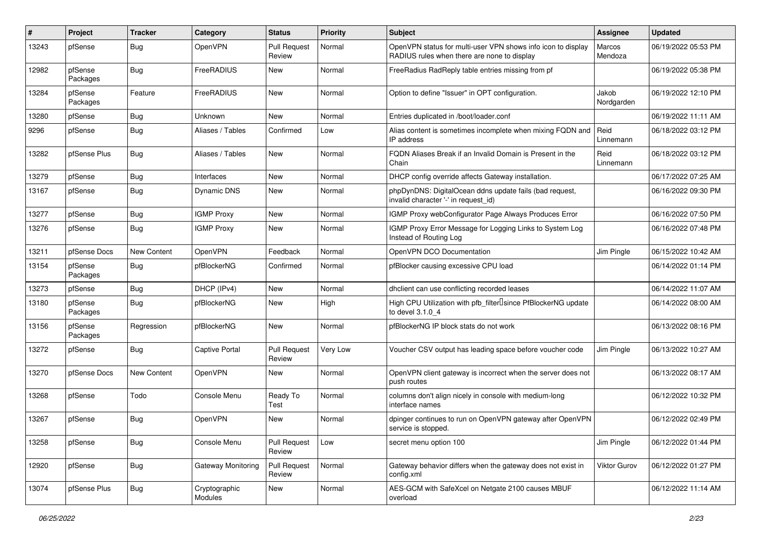| #     | Project             | <b>Tracker</b> | Category                 | <b>Status</b>                 | Priority | <b>Subject</b>                                                                                              | <b>Assignee</b>     | <b>Updated</b>      |
|-------|---------------------|----------------|--------------------------|-------------------------------|----------|-------------------------------------------------------------------------------------------------------------|---------------------|---------------------|
| 13243 | pfSense             | <b>Bug</b>     | OpenVPN                  | <b>Pull Request</b><br>Review | Normal   | OpenVPN status for multi-user VPN shows info icon to display<br>RADIUS rules when there are none to display | Marcos<br>Mendoza   | 06/19/2022 05:53 PM |
| 12982 | pfSense<br>Packages | Bug            | FreeRADIUS               | New                           | Normal   | FreeRadius RadReply table entries missing from pf                                                           |                     | 06/19/2022 05:38 PM |
| 13284 | pfSense<br>Packages | Feature        | FreeRADIUS               | New                           | Normal   | Option to define "Issuer" in OPT configuration.                                                             | Jakob<br>Nordgarden | 06/19/2022 12:10 PM |
| 13280 | pfSense             | Bug            | <b>Unknown</b>           | <b>New</b>                    | Normal   | Entries duplicated in /boot/loader.conf                                                                     |                     | 06/19/2022 11:11 AM |
| 9296  | pfSense             | <b>Bug</b>     | Aliases / Tables         | Confirmed                     | Low      | Alias content is sometimes incomplete when mixing FQDN and<br>IP address                                    | Reid<br>Linnemann   | 06/18/2022 03:12 PM |
| 13282 | pfSense Plus        | Bug            | Aliases / Tables         | New                           | Normal   | FQDN Aliases Break if an Invalid Domain is Present in the<br>Chain                                          | Reid<br>Linnemann   | 06/18/2022 03:12 PM |
| 13279 | pfSense             | Bug            | Interfaces               | New                           | Normal   | DHCP config override affects Gateway installation.                                                          |                     | 06/17/2022 07:25 AM |
| 13167 | pfSense             | Bug            | Dynamic DNS              | New                           | Normal   | phpDynDNS: DigitalOcean ddns update fails (bad request,<br>invalid character '-' in request id)             |                     | 06/16/2022 09:30 PM |
| 13277 | pfSense             | <b>Bug</b>     | <b>IGMP Proxy</b>        | New                           | Normal   | IGMP Proxy webConfigurator Page Always Produces Error                                                       |                     | 06/16/2022 07:50 PM |
| 13276 | pfSense             | <b>Bug</b>     | <b>IGMP Proxy</b>        | New                           | Normal   | IGMP Proxy Error Message for Logging Links to System Log<br>Instead of Routing Log                          |                     | 06/16/2022 07:48 PM |
| 13211 | pfSense Docs        | New Content    | OpenVPN                  | Feedback                      | Normal   | OpenVPN DCO Documentation                                                                                   | Jim Pingle          | 06/15/2022 10:42 AM |
| 13154 | pfSense<br>Packages | Bug            | pfBlockerNG              | Confirmed                     | Normal   | pfBlocker causing excessive CPU load                                                                        |                     | 06/14/2022 01:14 PM |
| 13273 | pfSense             | Bug            | DHCP (IPv4)              | New                           | Normal   | dhclient can use conflicting recorded leases                                                                |                     | 06/14/2022 11:07 AM |
| 13180 | pfSense<br>Packages | Bug            | pfBlockerNG              | New                           | High     | High CPU Utilization with pfb_filter <sup>[]</sup> since PfBlockerNG update<br>to devel 3.1.0 4             |                     | 06/14/2022 08:00 AM |
| 13156 | pfSense<br>Packages | Regression     | pfBlockerNG              | New                           | Normal   | pfBlockerNG IP block stats do not work                                                                      |                     | 06/13/2022 08:16 PM |
| 13272 | pfSense             | <b>Bug</b>     | <b>Captive Portal</b>    | <b>Pull Request</b><br>Review | Very Low | Voucher CSV output has leading space before voucher code                                                    | Jim Pingle          | 06/13/2022 10:27 AM |
| 13270 | pfSense Docs        | New Content    | OpenVPN                  | New                           | Normal   | OpenVPN client gateway is incorrect when the server does not<br>push routes                                 |                     | 06/13/2022 08:17 AM |
| 13268 | pfSense             | Todo           | Console Menu             | Ready To<br>Test              | Normal   | columns don't align nicely in console with medium-long<br>interface names                                   |                     | 06/12/2022 10:32 PM |
| 13267 | pfSense             | Bug            | OpenVPN                  | New                           | Normal   | dpinger continues to run on OpenVPN gateway after OpenVPN<br>service is stopped.                            |                     | 06/12/2022 02:49 PM |
| 13258 | pfSense             | <b>Bug</b>     | Console Menu             | <b>Pull Request</b><br>Review | Low      | secret menu option 100                                                                                      | Jim Pingle          | 06/12/2022 01:44 PM |
| 12920 | pfSense             | Bug            | Gateway Monitoring       | <b>Pull Request</b><br>Review | Normal   | Gateway behavior differs when the gateway does not exist in<br>config.xml                                   | Viktor Gurov        | 06/12/2022 01:27 PM |
| 13074 | pfSense Plus        | <b>Bug</b>     | Cryptographic<br>Modules | New                           | Normal   | AES-GCM with SafeXcel on Netgate 2100 causes MBUF<br>overload                                               |                     | 06/12/2022 11:14 AM |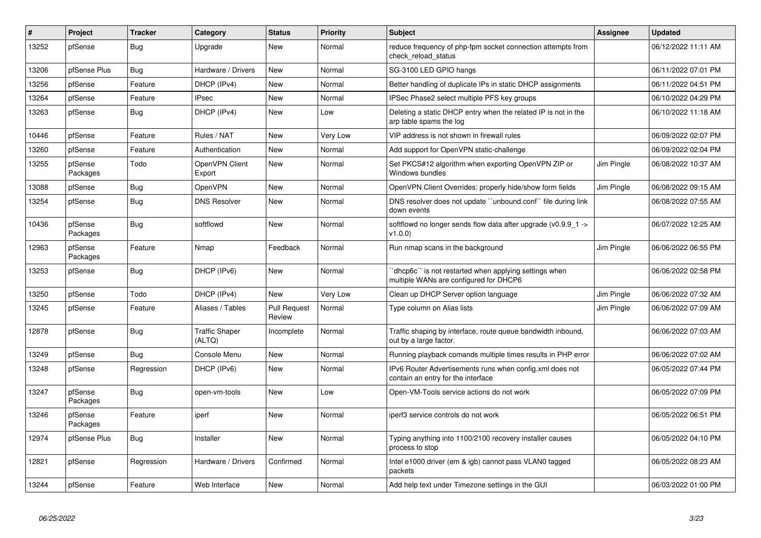| $\#$  | Project             | <b>Tracker</b> | Category                        | <b>Status</b>                 | Priority | <b>Subject</b>                                                                                 | <b>Assignee</b> | <b>Updated</b>      |
|-------|---------------------|----------------|---------------------------------|-------------------------------|----------|------------------------------------------------------------------------------------------------|-----------------|---------------------|
| 13252 | pfSense             | <b>Bug</b>     | Upgrade                         | <b>New</b>                    | Normal   | reduce frequency of php-fpm socket connection attempts from<br>check reload status             |                 | 06/12/2022 11:11 AM |
| 13206 | pfSense Plus        | Bug            | Hardware / Drivers              | New                           | Normal   | SG-3100 LED GPIO hangs                                                                         |                 | 06/11/2022 07:01 PM |
| 13256 | pfSense             | Feature        | DHCP (IPv4)                     | New                           | Normal   | Better handling of duplicate IPs in static DHCP assignments                                    |                 | 06/11/2022 04:51 PM |
| 13264 | pfSense             | Feature        | <b>IPsec</b>                    | <b>New</b>                    | Normal   | IPSec Phase2 select multiple PFS key groups                                                    |                 | 06/10/2022 04:29 PM |
| 13263 | pfSense             | Bug            | DHCP (IPv4)                     | New                           | Low      | Deleting a static DHCP entry when the related IP is not in the<br>arp table spams the log      |                 | 06/10/2022 11:18 AM |
| 10446 | pfSense             | Feature        | Rules / NAT                     | New                           | Very Low | VIP address is not shown in firewall rules                                                     |                 | 06/09/2022 02:07 PM |
| 13260 | pfSense             | Feature        | Authentication                  | New                           | Normal   | Add support for OpenVPN static-challenge                                                       |                 | 06/09/2022 02:04 PM |
| 13255 | pfSense<br>Packages | Todo           | OpenVPN Client<br>Export        | New                           | Normal   | Set PKCS#12 algorithm when exporting OpenVPN ZIP or<br>Windows bundles                         | Jim Pingle      | 06/08/2022 10:37 AM |
| 13088 | pfSense             | Bug            | OpenVPN                         | <b>New</b>                    | Normal   | OpenVPN Client Overrides: properly hide/show form fields                                       | Jim Pingle      | 06/08/2022 09:15 AM |
| 13254 | pfSense             | Bug            | <b>DNS Resolver</b>             | <b>New</b>                    | Normal   | DNS resolver does not update "unbound.conf" file during link<br>down events                    |                 | 06/08/2022 07:55 AM |
| 10436 | pfSense<br>Packages | <b>Bug</b>     | softflowd                       | <b>New</b>                    | Normal   | softflowd no longer sends flow data after upgrade (v0.9.9_1 -><br>v1.0.0                       |                 | 06/07/2022 12:25 AM |
| 12963 | pfSense<br>Packages | Feature        | Nmap                            | Feedback                      | Normal   | Run nmap scans in the background                                                               | Jim Pingle      | 06/06/2022 06:55 PM |
| 13253 | pfSense             | Bug            | DHCP (IPv6)                     | New                           | Normal   | dhcp6c" is not restarted when applying settings when<br>multiple WANs are configured for DHCP6 |                 | 06/06/2022 02:58 PM |
| 13250 | pfSense             | Todo           | DHCP (IPv4)                     | <b>New</b>                    | Very Low | Clean up DHCP Server option language                                                           | Jim Pingle      | 06/06/2022 07:32 AM |
| 13245 | pfSense             | Feature        | Aliases / Tables                | <b>Pull Request</b><br>Review | Normal   | Type column on Alias lists                                                                     | Jim Pingle      | 06/06/2022 07:09 AM |
| 12878 | pfSense             | <b>Bug</b>     | <b>Traffic Shaper</b><br>(ALTQ) | Incomplete                    | Normal   | Traffic shaping by interface, route queue bandwidth inbound,<br>out by a large factor.         |                 | 06/06/2022 07:03 AM |
| 13249 | pfSense             | Bug            | Console Menu                    | <b>New</b>                    | Normal   | Running playback comands multiple times results in PHP error                                   |                 | 06/06/2022 07:02 AM |
| 13248 | pfSense             | Regression     | DHCP (IPv6)                     | New                           | Normal   | IPv6 Router Advertisements runs when config.xml does not<br>contain an entry for the interface |                 | 06/05/2022 07:44 PM |
| 13247 | pfSense<br>Packages | Bug            | open-vm-tools                   | <b>New</b>                    | Low      | Open-VM-Tools service actions do not work                                                      |                 | 06/05/2022 07:09 PM |
| 13246 | pfSense<br>Packages | Feature        | iperf                           | New                           | Normal   | iperf3 service controls do not work                                                            |                 | 06/05/2022 06:51 PM |
| 12974 | pfSense Plus        | Bug            | Installer                       | <b>New</b>                    | Normal   | Typing anything into 1100/2100 recovery installer causes<br>process to stop                    |                 | 06/05/2022 04:10 PM |
| 12821 | pfSense             | Regression     | Hardware / Drivers              | Confirmed                     | Normal   | Intel e1000 driver (em & igb) cannot pass VLAN0 tagged<br>packets                              |                 | 06/05/2022 08:23 AM |
| 13244 | pfSense             | Feature        | Web Interface                   | New                           | Normal   | Add help text under Timezone settings in the GUI                                               |                 | 06/03/2022 01:00 PM |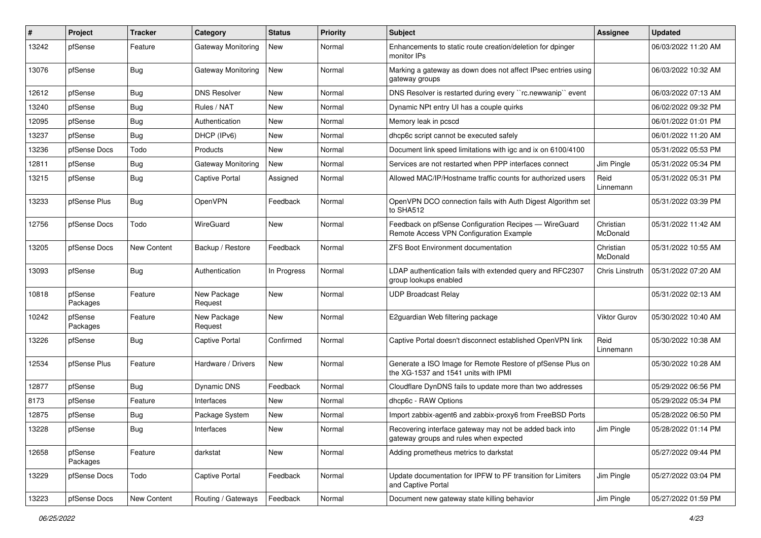| ∦     | Project             | <b>Tracker</b> | <b>Category</b>        | <b>Status</b> | <b>Priority</b> | <b>Subject</b>                                                                                     | Assignee              | <b>Updated</b>      |
|-------|---------------------|----------------|------------------------|---------------|-----------------|----------------------------------------------------------------------------------------------------|-----------------------|---------------------|
| 13242 | pfSense             | Feature        | Gateway Monitoring     | New           | Normal          | Enhancements to static route creation/deletion for dpinger<br>monitor IPs                          |                       | 06/03/2022 11:20 AM |
| 13076 | pfSense             | <b>Bug</b>     | Gateway Monitoring     | New           | Normal          | Marking a gateway as down does not affect IPsec entries using<br>gateway groups                    |                       | 06/03/2022 10:32 AM |
| 12612 | pfSense             | Bug            | <b>DNS Resolver</b>    | New           | Normal          | DNS Resolver is restarted during every "rc.newwanip" event                                         |                       | 06/03/2022 07:13 AM |
| 13240 | pfSense             | <b>Bug</b>     | Rules / NAT            | New           | Normal          | Dynamic NPt entry UI has a couple quirks                                                           |                       | 06/02/2022 09:32 PM |
| 12095 | pfSense             | Bug            | Authentication         | New           | Normal          | Memory leak in pcscd                                                                               |                       | 06/01/2022 01:01 PM |
| 13237 | pfSense             | Bug            | DHCP (IPv6)            | New           | Normal          | dhcp6c script cannot be executed safely                                                            |                       | 06/01/2022 11:20 AM |
| 13236 | pfSense Docs        | Todo           | Products               | New           | Normal          | Document link speed limitations with igc and ix on 6100/4100                                       |                       | 05/31/2022 05:53 PM |
| 12811 | pfSense             | Bug            | Gateway Monitoring     | New           | Normal          | Services are not restarted when PPP interfaces connect                                             | Jim Pingle            | 05/31/2022 05:34 PM |
| 13215 | pfSense             | <b>Bug</b>     | <b>Captive Portal</b>  | Assigned      | Normal          | Allowed MAC/IP/Hostname traffic counts for authorized users                                        | Reid<br>Linnemann     | 05/31/2022 05:31 PM |
| 13233 | pfSense Plus        | Bug            | <b>OpenVPN</b>         | Feedback      | Normal          | OpenVPN DCO connection fails with Auth Digest Algorithm set<br>to SHA512                           |                       | 05/31/2022 03:39 PM |
| 12756 | pfSense Docs        | Todo           | WireGuard              | New           | Normal          | Feedback on pfSense Configuration Recipes - WireGuard<br>Remote Access VPN Configuration Example   | Christian<br>McDonald | 05/31/2022 11:42 AM |
| 13205 | pfSense Docs        | New Content    | Backup / Restore       | Feedback      | Normal          | ZFS Boot Environment documentation                                                                 | Christian<br>McDonald | 05/31/2022 10:55 AM |
| 13093 | pfSense             | Bug            | Authentication         | In Progress   | Normal          | LDAP authentication fails with extended query and RFC2307<br>group lookups enabled                 | Chris Linstruth       | 05/31/2022 07:20 AM |
| 10818 | pfSense<br>Packages | Feature        | New Package<br>Request | New           | Normal          | <b>UDP Broadcast Relay</b>                                                                         |                       | 05/31/2022 02:13 AM |
| 10242 | pfSense<br>Packages | Feature        | New Package<br>Request | New           | Normal          | E2guardian Web filtering package                                                                   | <b>Viktor Gurov</b>   | 05/30/2022 10:40 AM |
| 13226 | pfSense             | <b>Bug</b>     | <b>Captive Portal</b>  | Confirmed     | Normal          | Captive Portal doesn't disconnect established OpenVPN link                                         | Reid<br>Linnemann     | 05/30/2022 10:38 AM |
| 12534 | pfSense Plus        | Feature        | Hardware / Drivers     | New           | Normal          | Generate a ISO Image for Remote Restore of pfSense Plus on<br>the XG-1537 and 1541 units with IPMI |                       | 05/30/2022 10:28 AM |
| 12877 | pfSense             | Bug            | Dynamic DNS            | Feedback      | Normal          | Cloudflare DynDNS fails to update more than two addresses                                          |                       | 05/29/2022 06:56 PM |
| 8173  | pfSense             | Feature        | Interfaces             | New           | Normal          | dhcp6c - RAW Options                                                                               |                       | 05/29/2022 05:34 PM |
| 12875 | pfSense             | <b>Bug</b>     | Package System         | New           | Normal          | Import zabbix-agent6 and zabbix-proxy6 from FreeBSD Ports                                          |                       | 05/28/2022 06:50 PM |
| 13228 | pfSense             | <b>Bug</b>     | Interfaces             | New           | Normal          | Recovering interface gateway may not be added back into<br>gateway groups and rules when expected  | Jim Pingle            | 05/28/2022 01:14 PM |
| 12658 | pfSense<br>Packages | Feature        | darkstat               | New           | Normal          | Adding prometheus metrics to darkstat                                                              |                       | 05/27/2022 09:44 PM |
| 13229 | pfSense Docs        | Todo           | Captive Portal         | Feedback      | Normal          | Update documentation for IPFW to PF transition for Limiters<br>and Captive Portal                  | Jim Pingle            | 05/27/2022 03:04 PM |
| 13223 | pfSense Docs        | New Content    | Routing / Gateways     | Feedback      | Normal          | Document new gateway state killing behavior                                                        | Jim Pingle            | 05/27/2022 01:59 PM |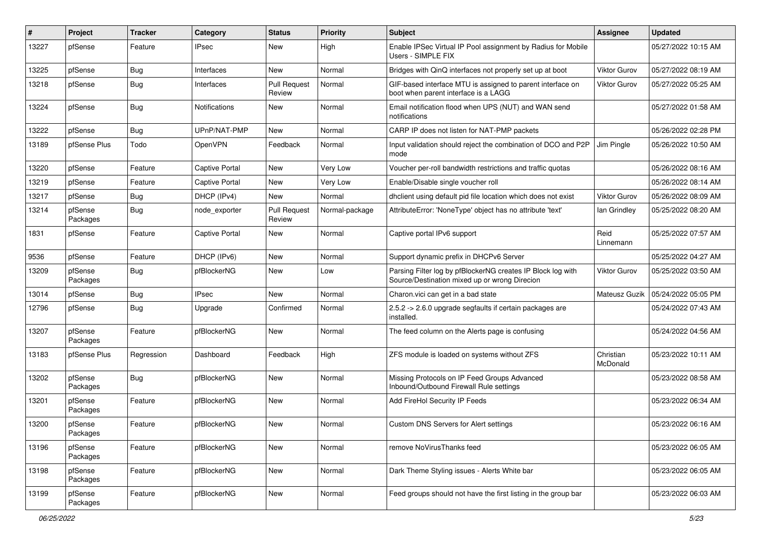| #     | Project             | <b>Tracker</b> | Category              | <b>Status</b>                 | Priority       | Subject                                                                                                      | <b>Assignee</b>       | <b>Updated</b>      |
|-------|---------------------|----------------|-----------------------|-------------------------------|----------------|--------------------------------------------------------------------------------------------------------------|-----------------------|---------------------|
| 13227 | pfSense             | Feature        | <b>IPsec</b>          | New                           | High           | Enable IPSec Virtual IP Pool assignment by Radius for Mobile<br>Users - SIMPLE FIX                           |                       | 05/27/2022 10:15 AM |
| 13225 | pfSense             | Bug            | Interfaces            | New                           | Normal         | Bridges with QinQ interfaces not properly set up at boot                                                     | <b>Viktor Gurov</b>   | 05/27/2022 08:19 AM |
| 13218 | pfSense             | Bug            | Interfaces            | <b>Pull Request</b><br>Review | Normal         | GIF-based interface MTU is assigned to parent interface on<br>boot when parent interface is a LAGG           | Viktor Gurov          | 05/27/2022 05:25 AM |
| 13224 | pfSense             | Bug            | <b>Notifications</b>  | New                           | Normal         | Email notification flood when UPS (NUT) and WAN send<br>notifications                                        |                       | 05/27/2022 01:58 AM |
| 13222 | pfSense             | <b>Bug</b>     | UPnP/NAT-PMP          | <b>New</b>                    | Normal         | CARP IP does not listen for NAT-PMP packets                                                                  |                       | 05/26/2022 02:28 PM |
| 13189 | pfSense Plus        | Todo           | <b>OpenVPN</b>        | Feedback                      | Normal         | Input validation should reject the combination of DCO and P2P<br>mode                                        | Jim Pingle            | 05/26/2022 10:50 AM |
| 13220 | pfSense             | Feature        | <b>Captive Portal</b> | New                           | Very Low       | Voucher per-roll bandwidth restrictions and traffic quotas                                                   |                       | 05/26/2022 08:16 AM |
| 13219 | pfSense             | Feature        | <b>Captive Portal</b> | New                           | Very Low       | Enable/Disable single voucher roll                                                                           |                       | 05/26/2022 08:14 AM |
| 13217 | pfSense             | <b>Bug</b>     | DHCP (IPv4)           | New                           | Normal         | dhclient using default pid file location which does not exist                                                | <b>Viktor Gurov</b>   | 05/26/2022 08:09 AM |
| 13214 | pfSense<br>Packages | <b>Bug</b>     | node_exporter         | <b>Pull Request</b><br>Review | Normal-package | AttributeError: 'NoneType' object has no attribute 'text'                                                    | lan Grindley          | 05/25/2022 08:20 AM |
| 1831  | pfSense             | Feature        | <b>Captive Portal</b> | New                           | Normal         | Captive portal IPv6 support                                                                                  | Reid<br>Linnemann     | 05/25/2022 07:57 AM |
| 9536  | pfSense             | Feature        | DHCP (IPv6)           | New                           | Normal         | Support dynamic prefix in DHCPv6 Server                                                                      |                       | 05/25/2022 04:27 AM |
| 13209 | pfSense<br>Packages | Bug            | pfBlockerNG           | New                           | Low            | Parsing Filter log by pfBlockerNG creates IP Block log with<br>Source/Destination mixed up or wrong Direcion | Viktor Gurov          | 05/25/2022 03:50 AM |
| 13014 | pfSense             | <b>Bug</b>     | <b>IPsec</b>          | <b>New</b>                    | Normal         | Charon.vici can get in a bad state                                                                           | Mateusz Guzik         | 05/24/2022 05:05 PM |
| 12796 | pfSense             | Bug            | Upgrade               | Confirmed                     | Normal         | 2.5.2 -> 2.6.0 upgrade segfaults if certain packages are<br>installed.                                       |                       | 05/24/2022 07:43 AM |
| 13207 | pfSense<br>Packages | Feature        | pfBlockerNG           | <b>New</b>                    | Normal         | The feed column on the Alerts page is confusing                                                              |                       | 05/24/2022 04:56 AM |
| 13183 | pfSense Plus        | Regression     | Dashboard             | Feedback                      | High           | ZFS module is loaded on systems without ZFS                                                                  | Christian<br>McDonald | 05/23/2022 10:11 AM |
| 13202 | pfSense<br>Packages | <b>Bug</b>     | pfBlockerNG           | New                           | Normal         | Missing Protocols on IP Feed Groups Advanced<br>Inbound/Outbound Firewall Rule settings                      |                       | 05/23/2022 08:58 AM |
| 13201 | pfSense<br>Packages | Feature        | pfBlockerNG           | <b>New</b>                    | Normal         | Add FireHol Security IP Feeds                                                                                |                       | 05/23/2022 06:34 AM |
| 13200 | pfSense<br>Packages | Feature        | pfBlockerNG           | <b>New</b>                    | Normal         | <b>Custom DNS Servers for Alert settings</b>                                                                 |                       | 05/23/2022 06:16 AM |
| 13196 | pfSense<br>Packages | Feature        | pfBlockerNG           | <b>New</b>                    | Normal         | remove NoVirusThanks feed                                                                                    |                       | 05/23/2022 06:05 AM |
| 13198 | pfSense<br>Packages | Feature        | pfBlockerNG           | New                           | Normal         | Dark Theme Styling issues - Alerts White bar                                                                 |                       | 05/23/2022 06:05 AM |
| 13199 | pfSense<br>Packages | Feature        | pfBlockerNG           | New                           | Normal         | Feed groups should not have the first listing in the group bar                                               |                       | 05/23/2022 06:03 AM |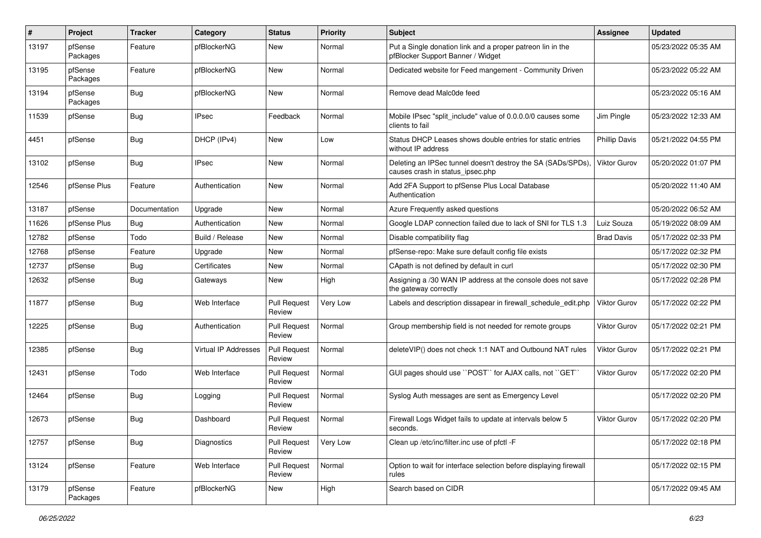| #     | Project             | <b>Tracker</b> | Category             | <b>Status</b>                 | Priority | <b>Subject</b>                                                                                  | <b>Assignee</b>      | <b>Updated</b>      |
|-------|---------------------|----------------|----------------------|-------------------------------|----------|-------------------------------------------------------------------------------------------------|----------------------|---------------------|
| 13197 | pfSense<br>Packages | Feature        | pfBlockerNG          | New                           | Normal   | Put a Single donation link and a proper patreon lin in the<br>pfBlocker Support Banner / Widget |                      | 05/23/2022 05:35 AM |
| 13195 | pfSense<br>Packages | Feature        | pfBlockerNG          | New                           | Normal   | Dedicated website for Feed mangement - Community Driven                                         |                      | 05/23/2022 05:22 AM |
| 13194 | pfSense<br>Packages | <b>Bug</b>     | pfBlockerNG          | <b>New</b>                    | Normal   | Remove dead Malc0de feed                                                                        |                      | 05/23/2022 05:16 AM |
| 11539 | pfSense             | Bug            | <b>IPsec</b>         | Feedback                      | Normal   | Mobile IPsec "split include" value of 0.0.0.0/0 causes some<br>clients to fail                  | Jim Pingle           | 05/23/2022 12:33 AM |
| 4451  | pfSense             | Bug            | DHCP (IPv4)          | New                           | Low      | Status DHCP Leases shows double entries for static entries<br>without IP address                | <b>Phillip Davis</b> | 05/21/2022 04:55 PM |
| 13102 | pfSense             | Bug            | <b>IPsec</b>         | <b>New</b>                    | Normal   | Deleting an IPSec tunnel doesn't destroy the SA (SADs/SPDs)<br>causes crash in status_ipsec.php | Viktor Gurov         | 05/20/2022 01:07 PM |
| 12546 | pfSense Plus        | Feature        | Authentication       | New                           | Normal   | Add 2FA Support to pfSense Plus Local Database<br>Authentication                                |                      | 05/20/2022 11:40 AM |
| 13187 | pfSense             | Documentation  | Upgrade              | New                           | Normal   | Azure Frequently asked questions                                                                |                      | 05/20/2022 06:52 AM |
| 11626 | pfSense Plus        | Bug            | Authentication       | <b>New</b>                    | Normal   | Google LDAP connection failed due to lack of SNI for TLS 1.3                                    | Luiz Souza           | 05/19/2022 08:09 AM |
| 12782 | pfSense             | Todo           | Build / Release      | New                           | Normal   | Disable compatibility flag                                                                      | <b>Brad Davis</b>    | 05/17/2022 02:33 PM |
| 12768 | pfSense             | Feature        | Upgrade              | New                           | Normal   | pfSense-repo: Make sure default config file exists                                              |                      | 05/17/2022 02:32 PM |
| 12737 | pfSense             | Bug            | Certificates         | New                           | Normal   | CApath is not defined by default in curl                                                        |                      | 05/17/2022 02:30 PM |
| 12632 | pfSense             | Bug            | Gateways             | New                           | High     | Assigning a /30 WAN IP address at the console does not save<br>the gateway correctly            |                      | 05/17/2022 02:28 PM |
| 11877 | pfSense             | Bug            | Web Interface        | <b>Pull Request</b><br>Review | Very Low | Labels and description dissapear in firewall schedule edit.php                                  | Viktor Gurov         | 05/17/2022 02:22 PM |
| 12225 | pfSense             | <b>Bug</b>     | Authentication       | <b>Pull Request</b><br>Review | Normal   | Group membership field is not needed for remote groups                                          | <b>Viktor Gurov</b>  | 05/17/2022 02:21 PM |
| 12385 | pfSense             | Bug            | Virtual IP Addresses | <b>Pull Request</b><br>Review | Normal   | deleteVIP() does not check 1:1 NAT and Outbound NAT rules                                       | Viktor Gurov         | 05/17/2022 02:21 PM |
| 12431 | pfSense             | Todo           | Web Interface        | <b>Pull Request</b><br>Review | Normal   | GUI pages should use "POST" for AJAX calls, not "GET"                                           | Viktor Gurov         | 05/17/2022 02:20 PM |
| 12464 | pfSense             | <b>Bug</b>     | Logging              | <b>Pull Request</b><br>Review | Normal   | Syslog Auth messages are sent as Emergency Level                                                |                      | 05/17/2022 02:20 PM |
| 12673 | pfSense             | Bug            | Dashboard            | <b>Pull Request</b><br>Review | Normal   | Firewall Logs Widget fails to update at intervals below 5<br>seconds.                           | Viktor Gurov         | 05/17/2022 02:20 PM |
| 12757 | pfSense             | Bug            | Diagnostics          | <b>Pull Request</b><br>Review | Very Low | Clean up /etc/inc/filter.inc use of pfctl -F                                                    |                      | 05/17/2022 02:18 PM |
| 13124 | pfSense             | Feature        | Web Interface        | <b>Pull Request</b><br>Review | Normal   | Option to wait for interface selection before displaying firewall<br>rules                      |                      | 05/17/2022 02:15 PM |
| 13179 | pfSense<br>Packages | Feature        | pfBlockerNG          | New                           | High     | Search based on CIDR                                                                            |                      | 05/17/2022 09:45 AM |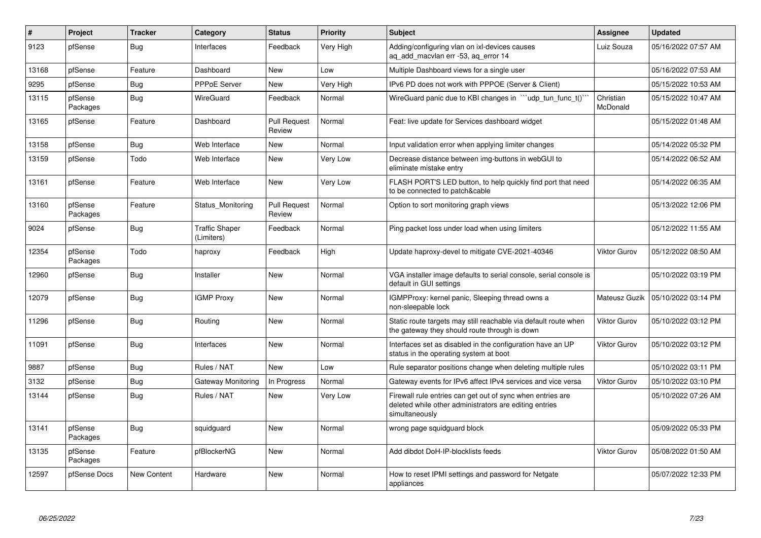| $\pmb{\#}$ | Project             | <b>Tracker</b>     | Category                            | <b>Status</b>                 | Priority  | <b>Subject</b>                                                                                                                         | <b>Assignee</b>       | <b>Updated</b>      |
|------------|---------------------|--------------------|-------------------------------------|-------------------------------|-----------|----------------------------------------------------------------------------------------------------------------------------------------|-----------------------|---------------------|
| 9123       | pfSense             | <b>Bug</b>         | Interfaces                          | Feedback                      | Very High | Adding/configuring vlan on ixl-devices causes<br>ag add macvlan err -53, ag error 14                                                   | Luiz Souza            | 05/16/2022 07:57 AM |
| 13168      | pfSense             | Feature            | Dashboard                           | <b>New</b>                    | Low       | Multiple Dashboard views for a single user                                                                                             |                       | 05/16/2022 07:53 AM |
| 9295       | pfSense             | <b>Bug</b>         | PPPoE Server                        | <b>New</b>                    | Very High | IPv6 PD does not work with PPPOE (Server & Client)                                                                                     |                       | 05/15/2022 10:53 AM |
| 13115      | pfSense<br>Packages | Bug                | WireGuard                           | Feedback                      | Normal    | WireGuard panic due to KBI changes in ```udp tun func t()``                                                                            | Christian<br>McDonald | 05/15/2022 10:47 AM |
| 13165      | pfSense             | Feature            | Dashboard                           | <b>Pull Request</b><br>Review | Normal    | Feat: live update for Services dashboard widget                                                                                        |                       | 05/15/2022 01:48 AM |
| 13158      | pfSense             | <b>Bug</b>         | Web Interface                       | <b>New</b>                    | Normal    | Input validation error when applying limiter changes                                                                                   |                       | 05/14/2022 05:32 PM |
| 13159      | pfSense             | Todo               | Web Interface                       | <b>New</b>                    | Very Low  | Decrease distance between img-buttons in webGUI to<br>eliminate mistake entry                                                          |                       | 05/14/2022 06:52 AM |
| 13161      | pfSense             | Feature            | Web Interface                       | New                           | Very Low  | FLASH PORT'S LED button, to help quickly find port that need<br>to be connected to patch&cable                                         |                       | 05/14/2022 06:35 AM |
| 13160      | pfSense<br>Packages | Feature            | Status_Monitoring                   | <b>Pull Request</b><br>Review | Normal    | Option to sort monitoring graph views                                                                                                  |                       | 05/13/2022 12:06 PM |
| 9024       | pfSense             | <b>Bug</b>         | <b>Traffic Shaper</b><br>(Limiters) | Feedback                      | Normal    | Ping packet loss under load when using limiters                                                                                        |                       | 05/12/2022 11:55 AM |
| 12354      | pfSense<br>Packages | Todo               | haproxy                             | Feedback                      | High      | Update haproxy-devel to mitigate CVE-2021-40346                                                                                        | <b>Viktor Gurov</b>   | 05/12/2022 08:50 AM |
| 12960      | pfSense             | Bug                | Installer                           | New                           | Normal    | VGA installer image defaults to serial console, serial console is<br>default in GUI settings                                           |                       | 05/10/2022 03:19 PM |
| 12079      | pfSense             | <b>Bug</b>         | <b>IGMP Proxy</b>                   | New                           | Normal    | IGMPProxy: kernel panic, Sleeping thread owns a<br>non-sleepable lock                                                                  | Mateusz Guzik         | 05/10/2022 03:14 PM |
| 11296      | pfSense             | <b>Bug</b>         | Routing                             | New                           | Normal    | Static route targets may still reachable via default route when<br>the gateway they should route through is down                       | <b>Viktor Gurov</b>   | 05/10/2022 03:12 PM |
| 11091      | pfSense             | Bug                | Interfaces                          | New                           | Normal    | Interfaces set as disabled in the configuration have an UP<br>status in the operating system at boot                                   | <b>Viktor Gurov</b>   | 05/10/2022 03:12 PM |
| 9887       | pfSense             | Bug                | Rules / NAT                         | <b>New</b>                    | Low       | Rule separator positions change when deleting multiple rules                                                                           |                       | 05/10/2022 03:11 PM |
| 3132       | pfSense             | Bug                | Gateway Monitoring                  | In Progress                   | Normal    | Gateway events for IPv6 affect IPv4 services and vice versa                                                                            | <b>Viktor Gurov</b>   | 05/10/2022 03:10 PM |
| 13144      | pfSense             | <b>Bug</b>         | Rules / NAT                         | New                           | Very Low  | Firewall rule entries can get out of sync when entries are<br>deleted while other administrators are editing entries<br>simultaneously |                       | 05/10/2022 07:26 AM |
| 13141      | pfSense<br>Packages | Bug                | squidguard                          | <b>New</b>                    | Normal    | wrong page squidguard block                                                                                                            |                       | 05/09/2022 05:33 PM |
| 13135      | pfSense<br>Packages | Feature            | pfBlockerNG                         | <b>New</b>                    | Normal    | Add dibdot DoH-IP-blocklists feeds                                                                                                     | Viktor Gurov          | 05/08/2022 01:50 AM |
| 12597      | pfSense Docs        | <b>New Content</b> | Hardware                            | <b>New</b>                    | Normal    | How to reset IPMI settings and password for Netgate<br>appliances                                                                      |                       | 05/07/2022 12:33 PM |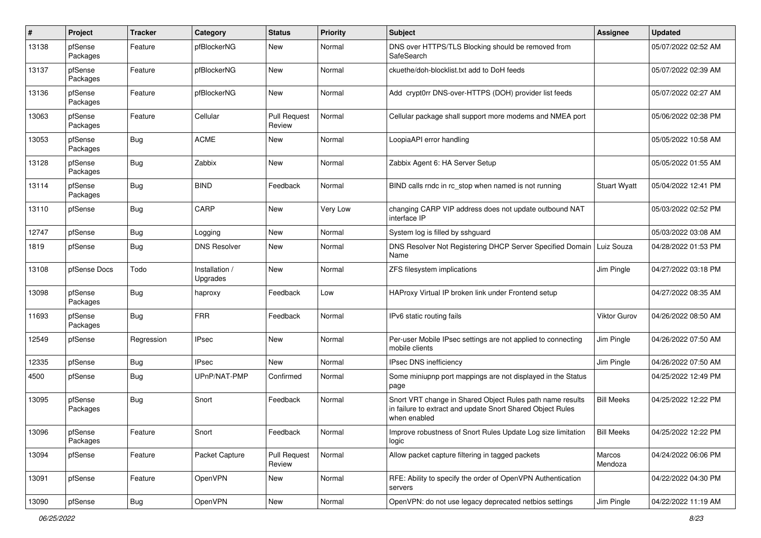| $\sharp$ | Project             | <b>Tracker</b> | Category                   | <b>Status</b>                 | <b>Priority</b> | <b>Subject</b>                                                                                                                          | Assignee            | <b>Updated</b>      |
|----------|---------------------|----------------|----------------------------|-------------------------------|-----------------|-----------------------------------------------------------------------------------------------------------------------------------------|---------------------|---------------------|
| 13138    | pfSense<br>Packages | Feature        | pfBlockerNG                | New                           | Normal          | DNS over HTTPS/TLS Blocking should be removed from<br>SafeSearch                                                                        |                     | 05/07/2022 02:52 AM |
| 13137    | pfSense<br>Packages | Feature        | pfBlockerNG                | New                           | Normal          | ckuethe/doh-blocklist.txt add to DoH feeds                                                                                              |                     | 05/07/2022 02:39 AM |
| 13136    | pfSense<br>Packages | Feature        | pfBlockerNG                | New                           | Normal          | Add crypt0rr DNS-over-HTTPS (DOH) provider list feeds                                                                                   |                     | 05/07/2022 02:27 AM |
| 13063    | pfSense<br>Packages | Feature        | Cellular                   | <b>Pull Request</b><br>Review | Normal          | Cellular package shall support more modems and NMEA port                                                                                |                     | 05/06/2022 02:38 PM |
| 13053    | pfSense<br>Packages | Bug            | <b>ACME</b>                | New                           | Normal          | LoopiaAPI error handling                                                                                                                |                     | 05/05/2022 10:58 AM |
| 13128    | pfSense<br>Packages | Bug            | Zabbix                     | New                           | Normal          | Zabbix Agent 6: HA Server Setup                                                                                                         |                     | 05/05/2022 01:55 AM |
| 13114    | pfSense<br>Packages | Bug            | <b>BIND</b>                | Feedback                      | Normal          | BIND calls rndc in rc_stop when named is not running                                                                                    | <b>Stuart Wyatt</b> | 05/04/2022 12:41 PM |
| 13110    | pfSense             | Bug            | CARP                       | New                           | <b>Very Low</b> | changing CARP VIP address does not update outbound NAT<br>interface IP                                                                  |                     | 05/03/2022 02:52 PM |
| 12747    | pfSense             | Bug            | Logging                    | New                           | Normal          | System log is filled by sshguard                                                                                                        |                     | 05/03/2022 03:08 AM |
| 1819     | pfSense             | <b>Bug</b>     | <b>DNS Resolver</b>        | New                           | Normal          | DNS Resolver Not Registering DHCP Server Specified Domain   Luiz Souza<br>Name                                                          |                     | 04/28/2022 01:53 PM |
| 13108    | pfSense Docs        | Todo           | Installation /<br>Upgrades | New                           | Normal          | ZFS filesystem implications                                                                                                             | Jim Pingle          | 04/27/2022 03:18 PM |
| 13098    | pfSense<br>Packages | Bug            | haproxy                    | Feedback                      | Low             | HAProxy Virtual IP broken link under Frontend setup                                                                                     |                     | 04/27/2022 08:35 AM |
| 11693    | pfSense<br>Packages | Bug            | <b>FRR</b>                 | Feedback                      | Normal          | IPv6 static routing fails                                                                                                               | Viktor Gurov        | 04/26/2022 08:50 AM |
| 12549    | pfSense             | Regression     | <b>IPsec</b>               | New                           | Normal          | Per-user Mobile IPsec settings are not applied to connecting<br>mobile clients                                                          | Jim Pingle          | 04/26/2022 07:50 AM |
| 12335    | pfSense             | Bug            | <b>IPsec</b>               | <b>New</b>                    | Normal          | IPsec DNS inefficiency                                                                                                                  | Jim Pingle          | 04/26/2022 07:50 AM |
| 4500     | pfSense             | <b>Bug</b>     | UPnP/NAT-PMP               | Confirmed                     | Normal          | Some miniupnp port mappings are not displayed in the Status<br>page                                                                     |                     | 04/25/2022 12:49 PM |
| 13095    | pfSense<br>Packages | Bug            | Snort                      | Feedback                      | Normal          | Snort VRT change in Shared Object Rules path name results<br>in failure to extract and update Snort Shared Object Rules<br>when enabled | <b>Bill Meeks</b>   | 04/25/2022 12:22 PM |
| 13096    | pfSense<br>Packages | Feature        | Snort                      | Feedback                      | Normal          | Improve robustness of Snort Rules Update Log size limitation<br>logic                                                                   | <b>Bill Meeks</b>   | 04/25/2022 12:22 PM |
| 13094    | pfSense             | Feature        | Packet Capture             | <b>Pull Request</b><br>Review | Normal          | Allow packet capture filtering in tagged packets                                                                                        | Marcos<br>Mendoza   | 04/24/2022 06:06 PM |
| 13091    | pfSense             | Feature        | OpenVPN                    | New                           | Normal          | RFE: Ability to specify the order of OpenVPN Authentication<br>servers                                                                  |                     | 04/22/2022 04:30 PM |
| 13090    | pfSense             | Bug            | OpenVPN                    | New                           | Normal          | OpenVPN: do not use legacy deprecated netbios settings                                                                                  | Jim Pingle          | 04/22/2022 11:19 AM |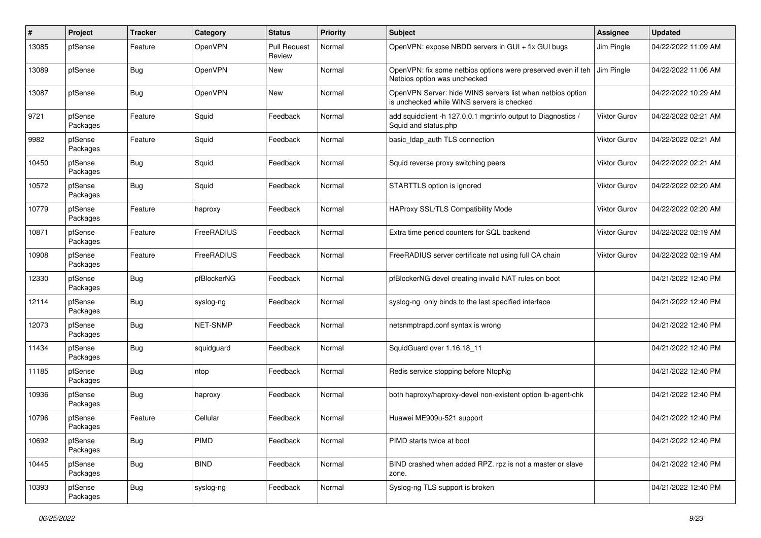| #     | Project             | <b>Tracker</b> | Category       | <b>Status</b>                 | <b>Priority</b> | Subject                                                                                                  | <b>Assignee</b>     | <b>Updated</b>      |
|-------|---------------------|----------------|----------------|-------------------------------|-----------------|----------------------------------------------------------------------------------------------------------|---------------------|---------------------|
| 13085 | pfSense             | Feature        | <b>OpenVPN</b> | <b>Pull Request</b><br>Review | Normal          | OpenVPN: expose NBDD servers in GUI + fix GUI bugs                                                       | Jim Pingle          | 04/22/2022 11:09 AM |
| 13089 | pfSense             | Bug            | <b>OpenVPN</b> | New                           | Normal          | OpenVPN: fix some netbios options were preserved even if teh<br>Netbios option was unchecked             | Jim Pingle          | 04/22/2022 11:06 AM |
| 13087 | pfSense             | Bug            | <b>OpenVPN</b> | <b>New</b>                    | Normal          | OpenVPN Server: hide WINS servers list when netbios option<br>is unchecked while WINS servers is checked |                     | 04/22/2022 10:29 AM |
| 9721  | pfSense<br>Packages | Feature        | Squid          | Feedback                      | Normal          | add squidclient -h 127.0.0.1 mgr:info output to Diagnostics /<br>Squid and status.php                    | <b>Viktor Gurov</b> | 04/22/2022 02:21 AM |
| 9982  | pfSense<br>Packages | Feature        | Squid          | Feedback                      | Normal          | basic_Idap_auth TLS connection                                                                           | Viktor Gurov        | 04/22/2022 02:21 AM |
| 10450 | pfSense<br>Packages | Bug            | Squid          | Feedback                      | Normal          | Squid reverse proxy switching peers                                                                      | <b>Viktor Gurov</b> | 04/22/2022 02:21 AM |
| 10572 | pfSense<br>Packages | Bug            | Squid          | Feedback                      | Normal          | STARTTLS option is ignored                                                                               | Viktor Gurov        | 04/22/2022 02:20 AM |
| 10779 | pfSense<br>Packages | Feature        | haproxy        | Feedback                      | Normal          | <b>HAProxy SSL/TLS Compatibility Mode</b>                                                                | <b>Viktor Gurov</b> | 04/22/2022 02:20 AM |
| 10871 | pfSense<br>Packages | Feature        | FreeRADIUS     | Feedback                      | Normal          | Extra time period counters for SQL backend                                                               | Viktor Gurov        | 04/22/2022 02:19 AM |
| 10908 | pfSense<br>Packages | Feature        | FreeRADIUS     | Feedback                      | Normal          | FreeRADIUS server certificate not using full CA chain                                                    | Viktor Gurov        | 04/22/2022 02:19 AM |
| 12330 | pfSense<br>Packages | Bug            | pfBlockerNG    | Feedback                      | Normal          | pfBlockerNG devel creating invalid NAT rules on boot                                                     |                     | 04/21/2022 12:40 PM |
| 12114 | pfSense<br>Packages | Bug            | syslog-ng      | Feedback                      | Normal          | syslog-ng only binds to the last specified interface                                                     |                     | 04/21/2022 12:40 PM |
| 12073 | pfSense<br>Packages | <b>Bug</b>     | NET-SNMP       | Feedback                      | Normal          | netsnmptrapd.conf syntax is wrong                                                                        |                     | 04/21/2022 12:40 PM |
| 11434 | pfSense<br>Packages | <b>Bug</b>     | squidguard     | Feedback                      | Normal          | SquidGuard over 1.16.18 11                                                                               |                     | 04/21/2022 12:40 PM |
| 11185 | pfSense<br>Packages | <b>Bug</b>     | ntop           | Feedback                      | Normal          | Redis service stopping before NtopNg                                                                     |                     | 04/21/2022 12:40 PM |
| 10936 | pfSense<br>Packages | <b>Bug</b>     | haproxy        | Feedback                      | Normal          | both haproxy/haproxy-devel non-existent option lb-agent-chk                                              |                     | 04/21/2022 12:40 PM |
| 10796 | pfSense<br>Packages | Feature        | Cellular       | Feedback                      | Normal          | Huawei ME909u-521 support                                                                                |                     | 04/21/2022 12:40 PM |
| 10692 | pfSense<br>Packages | <b>Bug</b>     | PIMD           | Feedback                      | Normal          | PIMD starts twice at boot                                                                                |                     | 04/21/2022 12:40 PM |
| 10445 | pfSense<br>Packages | <b>Bug</b>     | <b>BIND</b>    | Feedback                      | Normal          | BIND crashed when added RPZ. rpz is not a master or slave<br>zone.                                       |                     | 04/21/2022 12:40 PM |
| 10393 | pfSense<br>Packages | <b>Bug</b>     | syslog-ng      | Feedback                      | Normal          | Syslog-ng TLS support is broken                                                                          |                     | 04/21/2022 12:40 PM |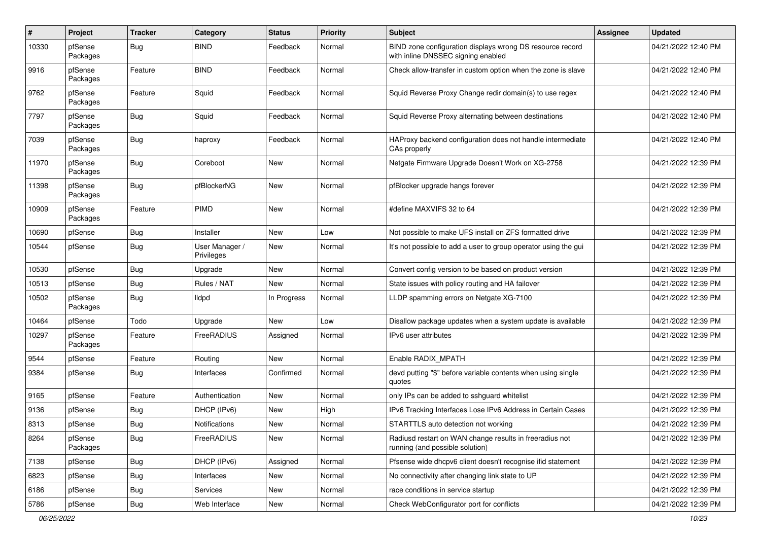| $\sharp$ | Project             | <b>Tracker</b> | Category                     | <b>Status</b> | <b>Priority</b> | <b>Subject</b>                                                                                  | <b>Assignee</b> | <b>Updated</b>      |
|----------|---------------------|----------------|------------------------------|---------------|-----------------|-------------------------------------------------------------------------------------------------|-----------------|---------------------|
| 10330    | pfSense<br>Packages | Bug            | <b>BIND</b>                  | Feedback      | Normal          | BIND zone configuration displays wrong DS resource record<br>with inline DNSSEC signing enabled |                 | 04/21/2022 12:40 PM |
| 9916     | pfSense<br>Packages | Feature        | <b>BIND</b>                  | Feedback      | Normal          | Check allow-transfer in custom option when the zone is slave                                    |                 | 04/21/2022 12:40 PM |
| 9762     | pfSense<br>Packages | Feature        | Squid                        | Feedback      | Normal          | Squid Reverse Proxy Change redir domain(s) to use regex                                         |                 | 04/21/2022 12:40 PM |
| 7797     | pfSense<br>Packages | Bug            | Squid                        | Feedback      | Normal          | Squid Reverse Proxy alternating between destinations                                            |                 | 04/21/2022 12:40 PM |
| 7039     | pfSense<br>Packages | Bug            | haproxy                      | Feedback      | Normal          | HAProxy backend configuration does not handle intermediate<br>CAs properly                      |                 | 04/21/2022 12:40 PM |
| 11970    | pfSense<br>Packages | <b>Bug</b>     | Coreboot                     | New           | Normal          | Netgate Firmware Upgrade Doesn't Work on XG-2758                                                |                 | 04/21/2022 12:39 PM |
| 11398    | pfSense<br>Packages | Bug            | pfBlockerNG                  | <b>New</b>    | Normal          | pfBlocker upgrade hangs forever                                                                 |                 | 04/21/2022 12:39 PM |
| 10909    | pfSense<br>Packages | Feature        | <b>PIMD</b>                  | New           | Normal          | #define MAXVIFS 32 to 64                                                                        |                 | 04/21/2022 12:39 PM |
| 10690    | pfSense             | Bug            | Installer                    | <b>New</b>    | Low             | Not possible to make UFS install on ZFS formatted drive                                         |                 | 04/21/2022 12:39 PM |
| 10544    | pfSense             | Bug            | User Manager /<br>Privileges | New           | Normal          | It's not possible to add a user to group operator using the gui                                 |                 | 04/21/2022 12:39 PM |
| 10530    | pfSense             | Bug            | Upgrade                      | New           | Normal          | Convert config version to be based on product version                                           |                 | 04/21/2022 12:39 PM |
| 10513    | pfSense             | Bug            | Rules / NAT                  | <b>New</b>    | Normal          | State issues with policy routing and HA failover                                                |                 | 04/21/2022 12:39 PM |
| 10502    | pfSense<br>Packages | Bug            | lldpd                        | In Progress   | Normal          | LLDP spamming errors on Netgate XG-7100                                                         |                 | 04/21/2022 12:39 PM |
| 10464    | pfSense             | Todo           | Upgrade                      | New           | Low             | Disallow package updates when a system update is available                                      |                 | 04/21/2022 12:39 PM |
| 10297    | pfSense<br>Packages | Feature        | <b>FreeRADIUS</b>            | Assigned      | Normal          | IPv6 user attributes                                                                            |                 | 04/21/2022 12:39 PM |
| 9544     | pfSense             | Feature        | Routing                      | New           | Normal          | Enable RADIX_MPATH                                                                              |                 | 04/21/2022 12:39 PM |
| 9384     | pfSense             | Bug            | Interfaces                   | Confirmed     | Normal          | devd putting "\$" before variable contents when using single<br>quotes                          |                 | 04/21/2022 12:39 PM |
| 9165     | pfSense             | Feature        | Authentication               | New           | Normal          | only IPs can be added to sshguard whitelist                                                     |                 | 04/21/2022 12:39 PM |
| 9136     | pfSense             | <b>Bug</b>     | DHCP (IPv6)                  | New           | High            | IPv6 Tracking Interfaces Lose IPv6 Address in Certain Cases                                     |                 | 04/21/2022 12:39 PM |
| 8313     | pfSense             | <b>Bug</b>     | Notifications                | New           | Normal          | STARTTLS auto detection not working                                                             |                 | 04/21/2022 12:39 PM |
| 8264     | pfSense<br>Packages | <b>Bug</b>     | FreeRADIUS                   | New           | Normal          | Radiusd restart on WAN change results in freeradius not<br>running (and possible solution)      |                 | 04/21/2022 12:39 PM |
| 7138     | pfSense             | <b>Bug</b>     | DHCP (IPv6)                  | Assigned      | Normal          | Pfsense wide dhcpv6 client doesn't recognise ifid statement                                     |                 | 04/21/2022 12:39 PM |
| 6823     | pfSense             | <b>Bug</b>     | Interfaces                   | New           | Normal          | No connectivity after changing link state to UP                                                 |                 | 04/21/2022 12:39 PM |
| 6186     | pfSense             | Bug            | Services                     | New           | Normal          | race conditions in service startup                                                              |                 | 04/21/2022 12:39 PM |
| 5786     | pfSense             | Bug            | Web Interface                | New           | Normal          | Check WebConfigurator port for conflicts                                                        |                 | 04/21/2022 12:39 PM |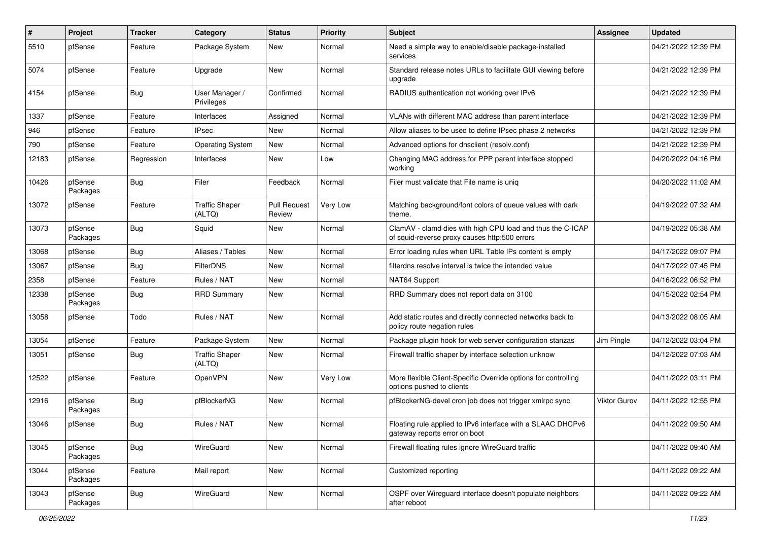| #     | Project             | <b>Tracker</b> | Category                        | <b>Status</b>                 | <b>Priority</b> | <b>Subject</b>                                                                                              | <b>Assignee</b> | <b>Updated</b>      |
|-------|---------------------|----------------|---------------------------------|-------------------------------|-----------------|-------------------------------------------------------------------------------------------------------------|-----------------|---------------------|
| 5510  | pfSense             | Feature        | Package System                  | New                           | Normal          | Need a simple way to enable/disable package-installed<br>services                                           |                 | 04/21/2022 12:39 PM |
| 5074  | pfSense             | Feature        | Upgrade                         | New                           | Normal          | Standard release notes URLs to facilitate GUI viewing before<br>upgrade                                     |                 | 04/21/2022 12:39 PM |
| 4154  | pfSense             | Bug            | User Manager /<br>Privileges    | Confirmed                     | Normal          | RADIUS authentication not working over IPv6                                                                 |                 | 04/21/2022 12:39 PM |
| 1337  | pfSense             | Feature        | Interfaces                      | Assigned                      | Normal          | VLANs with different MAC address than parent interface                                                      |                 | 04/21/2022 12:39 PM |
| 946   | pfSense             | Feature        | <b>IPsec</b>                    | New                           | Normal          | Allow aliases to be used to define IPsec phase 2 networks                                                   |                 | 04/21/2022 12:39 PM |
| 790   | pfSense             | Feature        | <b>Operating System</b>         | New                           | Normal          | Advanced options for dnsclient (resolv.conf)                                                                |                 | 04/21/2022 12:39 PM |
| 12183 | pfSense             | Regression     | Interfaces                      | New                           | Low             | Changing MAC address for PPP parent interface stopped<br>working                                            |                 | 04/20/2022 04:16 PM |
| 10426 | pfSense<br>Packages | Bug            | Filer                           | Feedback                      | Normal          | Filer must validate that File name is uniq                                                                  |                 | 04/20/2022 11:02 AM |
| 13072 | pfSense             | Feature        | <b>Traffic Shaper</b><br>(ALTQ) | <b>Pull Request</b><br>Review | Very Low        | Matching background/font colors of queue values with dark<br>theme.                                         |                 | 04/19/2022 07:32 AM |
| 13073 | pfSense<br>Packages | <b>Bug</b>     | Squid                           | <b>New</b>                    | Normal          | ClamAV - clamd dies with high CPU load and thus the C-ICAP<br>of squid-reverse proxy causes http:500 errors |                 | 04/19/2022 05:38 AM |
| 13068 | pfSense             | Bug            | Aliases / Tables                | <b>New</b>                    | Normal          | Error loading rules when URL Table IPs content is empty                                                     |                 | 04/17/2022 09:07 PM |
| 13067 | pfSense             | Bug            | <b>FilterDNS</b>                | New                           | Normal          | filterdns resolve interval is twice the intended value                                                      |                 | 04/17/2022 07:45 PM |
| 2358  | pfSense             | Feature        | Rules / NAT                     | New                           | Normal          | NAT64 Support                                                                                               |                 | 04/16/2022 06:52 PM |
| 12338 | pfSense<br>Packages | <b>Bug</b>     | <b>RRD Summary</b>              | New                           | Normal          | RRD Summary does not report data on 3100                                                                    |                 | 04/15/2022 02:54 PM |
| 13058 | pfSense             | Todo           | Rules / NAT                     | New                           | Normal          | Add static routes and directly connected networks back to<br>policy route negation rules                    |                 | 04/13/2022 08:05 AM |
| 13054 | pfSense             | Feature        | Package System                  | <b>New</b>                    | Normal          | Package plugin hook for web server configuration stanzas                                                    | Jim Pingle      | 04/12/2022 03:04 PM |
| 13051 | pfSense             | Bug            | <b>Traffic Shaper</b><br>(ALTQ) | New                           | Normal          | Firewall traffic shaper by interface selection unknow                                                       |                 | 04/12/2022 07:03 AM |
| 12522 | pfSense             | Feature        | OpenVPN                         | New                           | Very Low        | More flexible Client-Specific Override options for controlling<br>options pushed to clients                 |                 | 04/11/2022 03:11 PM |
| 12916 | pfSense<br>Packages | Bug            | pfBlockerNG                     | New                           | Normal          | pfBlockerNG-devel cron job does not trigger xmlrpc sync                                                     | Viktor Gurov    | 04/11/2022 12:55 PM |
| 13046 | pfSense             | <b>Bug</b>     | Rules / NAT                     | New                           | Normal          | Floating rule applied to IPv6 interface with a SLAAC DHCPv6<br>gateway reports error on boot                |                 | 04/11/2022 09:50 AM |
| 13045 | pfSense<br>Packages | <b>Bug</b>     | WireGuard                       | <b>New</b>                    | Normal          | Firewall floating rules ignore WireGuard traffic                                                            |                 | 04/11/2022 09:40 AM |
| 13044 | pfSense<br>Packages | Feature        | Mail report                     | <b>New</b>                    | Normal          | Customized reporting                                                                                        |                 | 04/11/2022 09:22 AM |
| 13043 | pfSense<br>Packages | Bug            | WireGuard                       | New                           | Normal          | OSPF over Wireguard interface doesn't populate neighbors<br>after reboot                                    |                 | 04/11/2022 09:22 AM |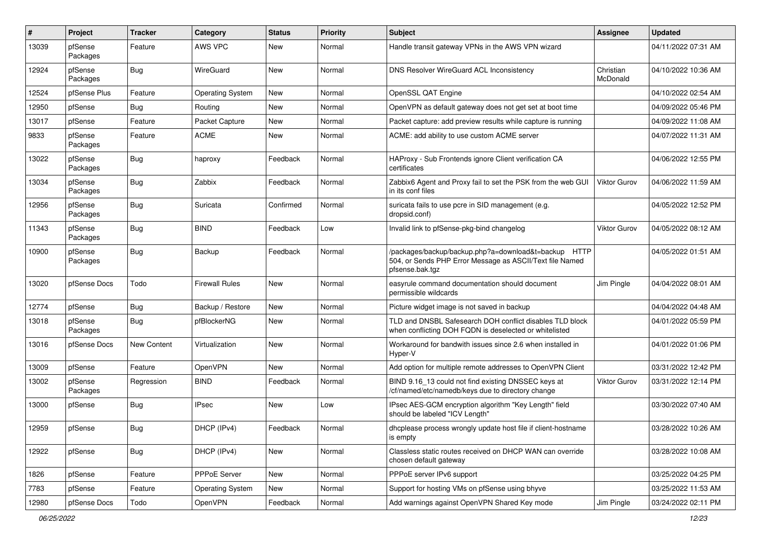| $\vert$ # | Project             | <b>Tracker</b> | Category                | <b>Status</b> | <b>Priority</b> | <b>Subject</b>                                                                                                                      | <b>Assignee</b>       | <b>Updated</b>      |
|-----------|---------------------|----------------|-------------------------|---------------|-----------------|-------------------------------------------------------------------------------------------------------------------------------------|-----------------------|---------------------|
| 13039     | pfSense<br>Packages | Feature        | AWS VPC                 | New           | Normal          | Handle transit gateway VPNs in the AWS VPN wizard                                                                                   |                       | 04/11/2022 07:31 AM |
| 12924     | pfSense<br>Packages | <b>Bug</b>     | WireGuard               | New           | Normal          | DNS Resolver WireGuard ACL Inconsistency                                                                                            | Christian<br>McDonald | 04/10/2022 10:36 AM |
| 12524     | pfSense Plus        | Feature        | <b>Operating System</b> | <b>New</b>    | Normal          | OpenSSL QAT Engine                                                                                                                  |                       | 04/10/2022 02:54 AM |
| 12950     | pfSense             | Bug            | Routing                 | New           | Normal          | OpenVPN as default gateway does not get set at boot time                                                                            |                       | 04/09/2022 05:46 PM |
| 13017     | pfSense             | Feature        | Packet Capture          | New           | Normal          | Packet capture: add preview results while capture is running                                                                        |                       | 04/09/2022 11:08 AM |
| 9833      | pfSense<br>Packages | Feature        | <b>ACME</b>             | New           | Normal          | ACME: add ability to use custom ACME server                                                                                         |                       | 04/07/2022 11:31 AM |
| 13022     | pfSense<br>Packages | Bug            | haproxy                 | Feedback      | Normal          | HAProxy - Sub Frontends ignore Client verification CA<br>certificates                                                               |                       | 04/06/2022 12:55 PM |
| 13034     | pfSense<br>Packages | Bug            | Zabbix                  | Feedback      | Normal          | Zabbix6 Agent and Proxy fail to set the PSK from the web GUI<br>in its conf files                                                   | <b>Viktor Gurov</b>   | 04/06/2022 11:59 AM |
| 12956     | pfSense<br>Packages | <b>Bug</b>     | Suricata                | Confirmed     | Normal          | suricata fails to use pcre in SID management (e.g.<br>dropsid.conf)                                                                 |                       | 04/05/2022 12:52 PM |
| 11343     | pfSense<br>Packages | <b>Bug</b>     | <b>BIND</b>             | Feedback      | Low             | Invalid link to pfSense-pkg-bind changelog                                                                                          | <b>Viktor Gurov</b>   | 04/05/2022 08:12 AM |
| 10900     | pfSense<br>Packages | <b>Bug</b>     | Backup                  | Feedback      | Normal          | /packages/backup/backup.php?a=download&t=backup HTTP<br>504, or Sends PHP Error Message as ASCII/Text file Named<br>pfsense.bak.tgz |                       | 04/05/2022 01:51 AM |
| 13020     | pfSense Docs        | Todo           | <b>Firewall Rules</b>   | <b>New</b>    | Normal          | easyrule command documentation should document<br>permissible wildcards                                                             | Jim Pingle            | 04/04/2022 08:01 AM |
| 12774     | pfSense             | Bug            | Backup / Restore        | New           | Normal          | Picture widget image is not saved in backup                                                                                         |                       | 04/04/2022 04:48 AM |
| 13018     | pfSense<br>Packages | Bug            | pfBlockerNG             | New           | Normal          | TLD and DNSBL Safesearch DOH conflict disables TLD block<br>when conflicting DOH FQDN is deselected or whitelisted                  |                       | 04/01/2022 05:59 PM |
| 13016     | pfSense Docs        | New Content    | Virtualization          | New           | Normal          | Workaround for bandwith issues since 2.6 when installed in<br>Hyper-V                                                               |                       | 04/01/2022 01:06 PM |
| 13009     | pfSense             | Feature        | <b>OpenVPN</b>          | <b>New</b>    | Normal          | Add option for multiple remote addresses to OpenVPN Client                                                                          |                       | 03/31/2022 12:42 PM |
| 13002     | pfSense<br>Packages | Regression     | <b>BIND</b>             | Feedback      | Normal          | BIND 9.16 13 could not find existing DNSSEC keys at<br>/cf/named/etc/namedb/keys due to directory change                            | <b>Viktor Gurov</b>   | 03/31/2022 12:14 PM |
| 13000     | pfSense             | <b>Bug</b>     | <b>IPsec</b>            | New           | Low             | IPsec AES-GCM encryption algorithm "Key Length" field<br>should be labeled "ICV Length"                                             |                       | 03/30/2022 07:40 AM |
| 12959     | pfSense             | Bug            | DHCP (IPv4)             | Feedback      | Normal          | dhcplease process wrongly update host file if client-hostname<br>is empty                                                           |                       | 03/28/2022 10:26 AM |
| 12922     | pfSense             | <b>Bug</b>     | DHCP (IPv4)             | New           | Normal          | Classless static routes received on DHCP WAN can override<br>chosen default gateway                                                 |                       | 03/28/2022 10:08 AM |
| 1826      | pfSense             | Feature        | PPPoE Server            | New           | Normal          | PPPoE server IPv6 support                                                                                                           |                       | 03/25/2022 04:25 PM |
| 7783      | pfSense             | Feature        | <b>Operating System</b> | New           | Normal          | Support for hosting VMs on pfSense using bhyve                                                                                      |                       | 03/25/2022 11:53 AM |
| 12980     | pfSense Docs        | Todo           | OpenVPN                 | Feedback      | Normal          | Add warnings against OpenVPN Shared Key mode                                                                                        | Jim Pingle            | 03/24/2022 02:11 PM |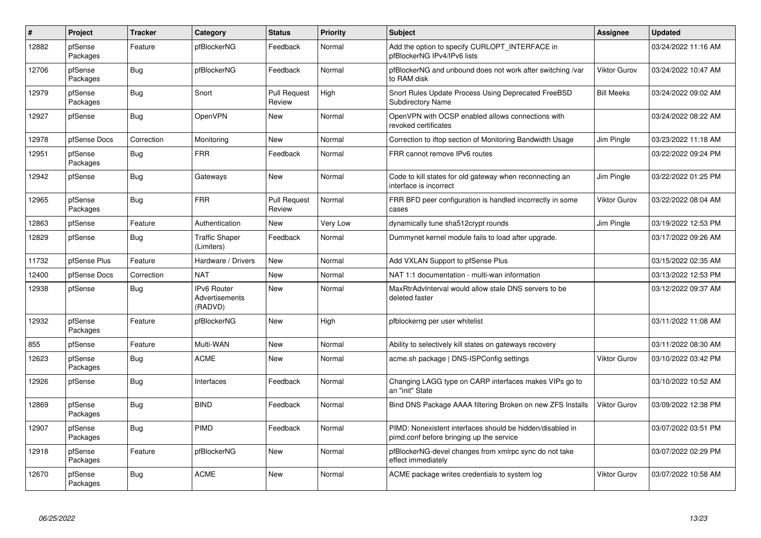| #     | Project             | <b>Tracker</b> | Category                                 | <b>Status</b>                 | <b>Priority</b> | <b>Subject</b>                                                                                        | <b>Assignee</b>     | <b>Updated</b>      |
|-------|---------------------|----------------|------------------------------------------|-------------------------------|-----------------|-------------------------------------------------------------------------------------------------------|---------------------|---------------------|
| 12882 | pfSense<br>Packages | Feature        | pfBlockerNG                              | Feedback                      | Normal          | Add the option to specify CURLOPT INTERFACE in<br>pfBlockerNG IPv4/IPv6 lists                         |                     | 03/24/2022 11:16 AM |
| 12706 | pfSense<br>Packages | <b>Bug</b>     | pfBlockerNG                              | Feedback                      | Normal          | pfBlockerNG and unbound does not work after switching /var<br>to RAM disk                             | Viktor Gurov        | 03/24/2022 10:47 AM |
| 12979 | pfSense<br>Packages | <b>Bug</b>     | Snort                                    | <b>Pull Request</b><br>Review | High            | Snort Rules Update Process Using Deprecated FreeBSD<br><b>Subdirectory Name</b>                       | <b>Bill Meeks</b>   | 03/24/2022 09:02 AM |
| 12927 | pfSense             | <b>Bug</b>     | <b>OpenVPN</b>                           | <b>New</b>                    | Normal          | OpenVPN with OCSP enabled allows connections with<br>revoked certificates                             |                     | 03/24/2022 08:22 AM |
| 12978 | pfSense Docs        | Correction     | Monitoring                               | <b>New</b>                    | Normal          | Correction to iftop section of Monitoring Bandwidth Usage                                             | Jim Pingle          | 03/23/2022 11:18 AM |
| 12951 | pfSense<br>Packages | <b>Bug</b>     | <b>FRR</b>                               | Feedback                      | Normal          | FRR cannot remove IPv6 routes                                                                         |                     | 03/22/2022 09:24 PM |
| 12942 | pfSense             | Bug            | Gateways                                 | New                           | Normal          | Code to kill states for old gateway when reconnecting an<br>interface is incorrect                    | Jim Pingle          | 03/22/2022 01:25 PM |
| 12965 | pfSense<br>Packages | Bug            | <b>FRR</b>                               | <b>Pull Request</b><br>Review | Normal          | FRR BFD peer configuration is handled incorrectly in some<br>cases                                    | Viktor Gurov        | 03/22/2022 08:04 AM |
| 12863 | pfSense             | Feature        | Authentication                           | <b>New</b>                    | <b>Very Low</b> | dynamically tune sha512crypt rounds                                                                   | Jim Pingle          | 03/19/2022 12:53 PM |
| 12829 | pfSense             | Bug            | <b>Traffic Shaper</b><br>(Limiters)      | Feedback                      | Normal          | Dummynet kernel module fails to load after upgrade.                                                   |                     | 03/17/2022 09:26 AM |
| 11732 | pfSense Plus        | Feature        | Hardware / Drivers                       | <b>New</b>                    | Normal          | Add VXLAN Support to pfSense Plus                                                                     |                     | 03/15/2022 02:35 AM |
| 12400 | pfSense Docs        | Correction     | <b>NAT</b>                               | New                           | Normal          | NAT 1:1 documentation - multi-wan information                                                         |                     | 03/13/2022 12:53 PM |
| 12938 | pfSense             | <b>Bug</b>     | IPv6 Router<br>Advertisements<br>(RADVD) | New                           | Normal          | MaxRtrAdvInterval would allow stale DNS servers to be<br>deleted faster                               |                     | 03/12/2022 09:37 AM |
| 12932 | pfSense<br>Packages | Feature        | pfBlockerNG                              | <b>New</b>                    | High            | pfblockerng per user whitelist                                                                        |                     | 03/11/2022 11:08 AM |
| 855   | pfSense             | Feature        | Multi-WAN                                | <b>New</b>                    | Normal          | Ability to selectively kill states on gateways recovery                                               |                     | 03/11/2022 08:30 AM |
| 12623 | pfSense<br>Packages | <b>Bug</b>     | <b>ACME</b>                              | New                           | Normal          | acme.sh package   DNS-ISPConfig settings                                                              | Viktor Gurov        | 03/10/2022 03:42 PM |
| 12926 | pfSense             | Bug            | Interfaces                               | Feedback                      | Normal          | Changing LAGG type on CARP interfaces makes VIPs go to<br>an "init" State                             |                     | 03/10/2022 10:52 AM |
| 12869 | pfSense<br>Packages | <b>Bug</b>     | <b>BIND</b>                              | Feedback                      | Normal          | Bind DNS Package AAAA filtering Broken on new ZFS Installs                                            | <b>Viktor Gurov</b> | 03/09/2022 12:38 PM |
| 12907 | pfSense<br>Packages | Bug            | PIMD                                     | Feedback                      | Normal          | PIMD: Nonexistent interfaces should be hidden/disabled in<br>pimd.conf before bringing up the service |                     | 03/07/2022 03:51 PM |
| 12918 | pfSense<br>Packages | Feature        | pfBlockerNG                              | <b>New</b>                    | Normal          | pfBlockerNG-devel changes from xmlrpc sync do not take<br>effect immediately                          |                     | 03/07/2022 02:29 PM |
| 12670 | pfSense<br>Packages | <b>Bug</b>     | <b>ACME</b>                              | <b>New</b>                    | Normal          | ACME package writes credentials to system log                                                         | Viktor Gurov        | 03/07/2022 10:58 AM |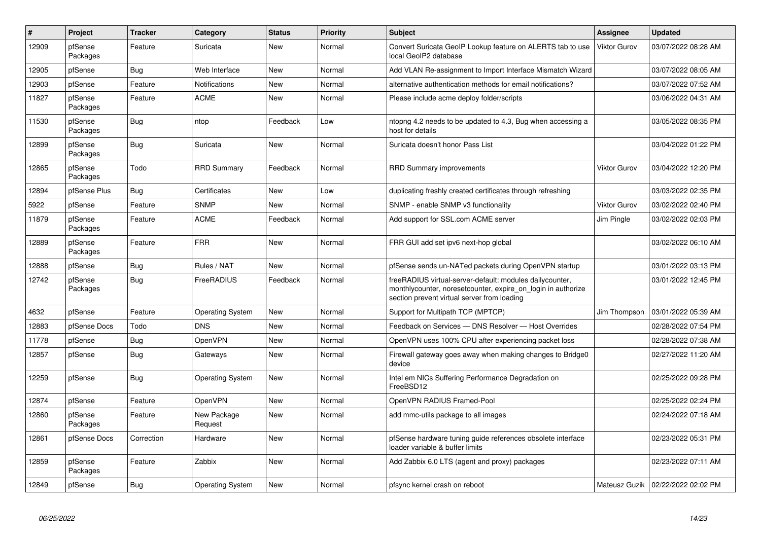| #     | Project             | <b>Tracker</b> | Category                | <b>Status</b> | <b>Priority</b> | <b>Subject</b>                                                                                                                                                          | Assignee            | <b>Updated</b>                      |
|-------|---------------------|----------------|-------------------------|---------------|-----------------|-------------------------------------------------------------------------------------------------------------------------------------------------------------------------|---------------------|-------------------------------------|
| 12909 | pfSense<br>Packages | Feature        | Suricata                | <b>New</b>    | Normal          | Convert Suricata GeoIP Lookup feature on ALERTS tab to use<br>local GeoIP2 database                                                                                     | <b>Viktor Gurov</b> | 03/07/2022 08:28 AM                 |
| 12905 | pfSense             | Bug            | Web Interface           | New           | Normal          | Add VLAN Re-assignment to Import Interface Mismatch Wizard                                                                                                              |                     | 03/07/2022 08:05 AM                 |
| 12903 | pfSense             | Feature        | <b>Notifications</b>    | <b>New</b>    | Normal          | alternative authentication methods for email notifications?                                                                                                             |                     | 03/07/2022 07:52 AM                 |
| 11827 | pfSense<br>Packages | Feature        | <b>ACME</b>             | <b>New</b>    | Normal          | Please include acme deploy folder/scripts                                                                                                                               |                     | 03/06/2022 04:31 AM                 |
| 11530 | pfSense<br>Packages | Bug            | ntop                    | Feedback      | Low             | ntopng 4.2 needs to be updated to 4.3, Bug when accessing a<br>host for details                                                                                         |                     | 03/05/2022 08:35 PM                 |
| 12899 | pfSense<br>Packages | <b>Bug</b>     | Suricata                | <b>New</b>    | Normal          | Suricata doesn't honor Pass List                                                                                                                                        |                     | 03/04/2022 01:22 PM                 |
| 12865 | pfSense<br>Packages | Todo           | <b>RRD Summary</b>      | Feedback      | Normal          | <b>RRD Summary improvements</b>                                                                                                                                         | Viktor Gurov        | 03/04/2022 12:20 PM                 |
| 12894 | pfSense Plus        | <b>Bug</b>     | Certificates            | <b>New</b>    | Low             | duplicating freshly created certificates through refreshing                                                                                                             |                     | 03/03/2022 02:35 PM                 |
| 5922  | pfSense             | Feature        | <b>SNMP</b>             | New           | Normal          | SNMP - enable SNMP v3 functionality                                                                                                                                     | Viktor Gurov        | 03/02/2022 02:40 PM                 |
| 11879 | pfSense<br>Packages | Feature        | <b>ACME</b>             | Feedback      | Normal          | Add support for SSL.com ACME server                                                                                                                                     | Jim Pingle          | 03/02/2022 02:03 PM                 |
| 12889 | pfSense<br>Packages | Feature        | <b>FRR</b>              | <b>New</b>    | Normal          | FRR GUI add set ipv6 next-hop global                                                                                                                                    |                     | 03/02/2022 06:10 AM                 |
| 12888 | pfSense             | <b>Bug</b>     | Rules / NAT             | <b>New</b>    | Normal          | pfSense sends un-NATed packets during OpenVPN startup                                                                                                                   |                     | 03/01/2022 03:13 PM                 |
| 12742 | pfSense<br>Packages | <b>Bug</b>     | FreeRADIUS              | Feedback      | Normal          | freeRADIUS virtual-server-default: modules dailycounter,<br>monthlycounter, noresetcounter, expire on login in authorize<br>section prevent virtual server from loading |                     | 03/01/2022 12:45 PM                 |
| 4632  | pfSense             | Feature        | <b>Operating System</b> | <b>New</b>    | Normal          | Support for Multipath TCP (MPTCP)                                                                                                                                       | Jim Thompson        | 03/01/2022 05:39 AM                 |
| 12883 | pfSense Docs        | Todo           | <b>DNS</b>              | <b>New</b>    | Normal          | Feedback on Services - DNS Resolver - Host Overrides                                                                                                                    |                     | 02/28/2022 07:54 PM                 |
| 11778 | pfSense             | Bug            | <b>OpenVPN</b>          | <b>New</b>    | Normal          | OpenVPN uses 100% CPU after experiencing packet loss                                                                                                                    |                     | 02/28/2022 07:38 AM                 |
| 12857 | pfSense             | <b>Bug</b>     | Gateways                | <b>New</b>    | Normal          | Firewall gateway goes away when making changes to Bridge0<br>device                                                                                                     |                     | 02/27/2022 11:20 AM                 |
| 12259 | pfSense             | <b>Bug</b>     | <b>Operating System</b> | <b>New</b>    | Normal          | Intel em NICs Suffering Performance Degradation on<br>FreeBSD12                                                                                                         |                     | 02/25/2022 09:28 PM                 |
| 12874 | pfSense             | Feature        | <b>OpenVPN</b>          | <b>New</b>    | Normal          | OpenVPN RADIUS Framed-Pool                                                                                                                                              |                     | 02/25/2022 02:24 PM                 |
| 12860 | pfSense<br>Packages | Feature        | New Package<br>Request  | <b>New</b>    | Normal          | add mmc-utils package to all images                                                                                                                                     |                     | 02/24/2022 07:18 AM                 |
| 12861 | pfSense Docs        | Correction     | Hardware                | <b>New</b>    | Normal          | pfSense hardware tuning guide references obsolete interface<br>loader variable & buffer limits                                                                          |                     | 02/23/2022 05:31 PM                 |
| 12859 | pfSense<br>Packages | Feature        | Zabbix                  | <b>New</b>    | Normal          | Add Zabbix 6.0 LTS (agent and proxy) packages                                                                                                                           |                     | 02/23/2022 07:11 AM                 |
| 12849 | pfSense             | <b>Bug</b>     | <b>Operating System</b> | New           | Normal          | pfsync kernel crash on reboot                                                                                                                                           |                     | Mateusz Guzik   02/22/2022 02:02 PM |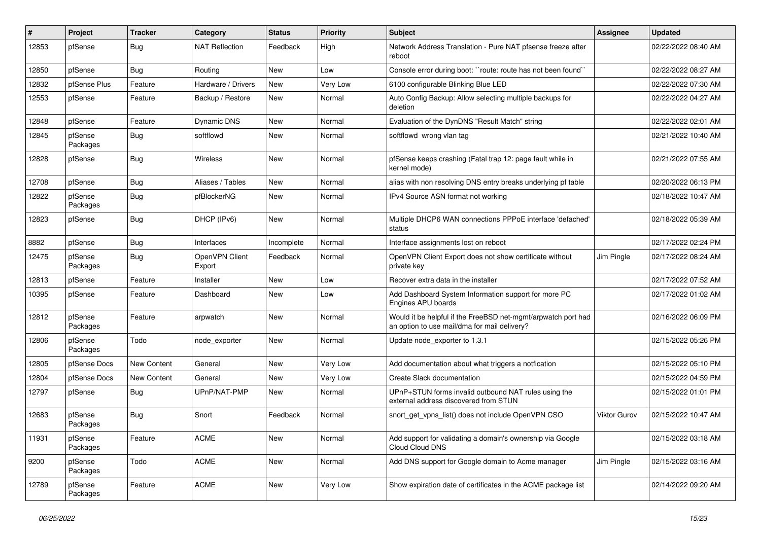| ∦     | Project             | <b>Tracker</b> | Category                 | <b>Status</b> | <b>Priority</b> | <b>Subject</b>                                                                                                | <b>Assignee</b> | <b>Updated</b>      |
|-------|---------------------|----------------|--------------------------|---------------|-----------------|---------------------------------------------------------------------------------------------------------------|-----------------|---------------------|
| 12853 | pfSense             | <b>Bug</b>     | <b>NAT Reflection</b>    | Feedback      | High            | Network Address Translation - Pure NAT pfsense freeze after<br>reboot                                         |                 | 02/22/2022 08:40 AM |
| 12850 | pfSense             | Bug            | Routing                  | New           | Low             | Console error during boot: "route: route has not been found"                                                  |                 | 02/22/2022 08:27 AM |
| 12832 | pfSense Plus        | Feature        | Hardware / Drivers       | New           | Very Low        | 6100 configurable Blinking Blue LED                                                                           |                 | 02/22/2022 07:30 AM |
| 12553 | pfSense             | Feature        | Backup / Restore         | <b>New</b>    | Normal          | Auto Config Backup: Allow selecting multiple backups for<br>deletion                                          |                 | 02/22/2022 04:27 AM |
| 12848 | pfSense             | Feature        | Dynamic DNS              | New           | Normal          | Evaluation of the DynDNS "Result Match" string                                                                |                 | 02/22/2022 02:01 AM |
| 12845 | pfSense<br>Packages | Bug            | softflowd                | New           | Normal          | softflowd wrong vlan tag                                                                                      |                 | 02/21/2022 10:40 AM |
| 12828 | pfSense             | Bug            | <b>Wireless</b>          | New           | Normal          | pfSense keeps crashing (Fatal trap 12: page fault while in<br>kernel mode)                                    |                 | 02/21/2022 07:55 AM |
| 12708 | pfSense             | <b>Bug</b>     | Aliases / Tables         | <b>New</b>    | Normal          | alias with non resolving DNS entry breaks underlying pf table                                                 |                 | 02/20/2022 06:13 PM |
| 12822 | pfSense<br>Packages | <b>Bug</b>     | pfBlockerNG              | New           | Normal          | IPv4 Source ASN format not working                                                                            |                 | 02/18/2022 10:47 AM |
| 12823 | pfSense             | Bug            | DHCP (IPv6)              | New           | Normal          | Multiple DHCP6 WAN connections PPPoE interface 'defached'<br>status                                           |                 | 02/18/2022 05:39 AM |
| 8882  | pfSense             | Bug            | Interfaces               | Incomplete    | Normal          | Interface assignments lost on reboot                                                                          |                 | 02/17/2022 02:24 PM |
| 12475 | pfSense<br>Packages | Bug            | OpenVPN Client<br>Export | Feedback      | Normal          | OpenVPN Client Export does not show certificate without<br>private key                                        | Jim Pingle      | 02/17/2022 08:24 AM |
| 12813 | pfSense             | Feature        | Installer                | <b>New</b>    | Low             | Recover extra data in the installer                                                                           |                 | 02/17/2022 07:52 AM |
| 10395 | pfSense             | Feature        | Dashboard                | New           | Low             | Add Dashboard System Information support for more PC<br>Engines APU boards                                    |                 | 02/17/2022 01:02 AM |
| 12812 | pfSense<br>Packages | Feature        | arpwatch                 | New           | Normal          | Would it be helpful if the FreeBSD net-mgmt/arpwatch port had<br>an option to use mail/dma for mail delivery? |                 | 02/16/2022 06:09 PM |
| 12806 | pfSense<br>Packages | Todo           | node_exporter            | New           | Normal          | Update node exporter to 1.3.1                                                                                 |                 | 02/15/2022 05:26 PM |
| 12805 | pfSense Docs        | New Content    | General                  | <b>New</b>    | Very Low        | Add documentation about what triggers a notfication                                                           |                 | 02/15/2022 05:10 PM |
| 12804 | pfSense Docs        | New Content    | General                  | New           | Very Low        | Create Slack documentation                                                                                    |                 | 02/15/2022 04:59 PM |
| 12797 | pfSense             | <b>Bug</b>     | UPnP/NAT-PMP             | <b>New</b>    | Normal          | UPnP+STUN forms invalid outbound NAT rules using the<br>external address discovered from STUN                 |                 | 02/15/2022 01:01 PM |
| 12683 | pfSense<br>Packages | <b>Bug</b>     | Snort                    | Feedback      | Normal          | snort_get_vpns_list() does not include OpenVPN CSO                                                            | Viktor Gurov    | 02/15/2022 10:47 AM |
| 11931 | pfSense<br>Packages | Feature        | <b>ACME</b>              | New           | Normal          | Add support for validating a domain's ownership via Google<br>Cloud Cloud DNS                                 |                 | 02/15/2022 03:18 AM |
| 9200  | pfSense<br>Packages | Todo           | <b>ACME</b>              | New           | Normal          | Add DNS support for Google domain to Acme manager                                                             | Jim Pingle      | 02/15/2022 03:16 AM |
| 12789 | pfSense<br>Packages | Feature        | <b>ACME</b>              | New           | Very Low        | Show expiration date of certificates in the ACME package list                                                 |                 | 02/14/2022 09:20 AM |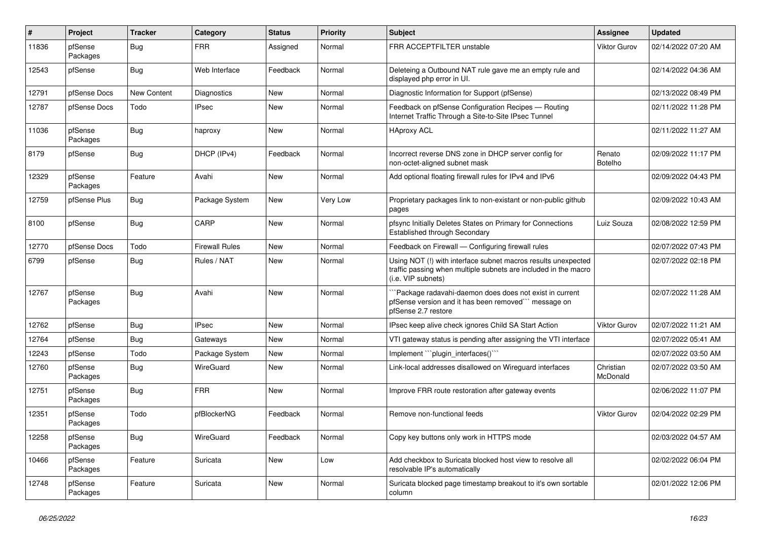| $\vert$ # | Project             | <b>Tracker</b> | Category              | <b>Status</b> | Priority        | <b>Subject</b>                                                                                                                                         | Assignee                 | <b>Updated</b>      |
|-----------|---------------------|----------------|-----------------------|---------------|-----------------|--------------------------------------------------------------------------------------------------------------------------------------------------------|--------------------------|---------------------|
| 11836     | pfSense<br>Packages | <b>Bug</b>     | <b>FRR</b>            | Assigned      | Normal          | FRR ACCEPTFILTER unstable                                                                                                                              | <b>Viktor Gurov</b>      | 02/14/2022 07:20 AM |
| 12543     | pfSense             | Bug            | Web Interface         | Feedback      | Normal          | Deleteing a Outbound NAT rule gave me an empty rule and<br>displayed php error in UI.                                                                  |                          | 02/14/2022 04:36 AM |
| 12791     | pfSense Docs        | New Content    | Diagnostics           | New           | Normal          | Diagnostic Information for Support (pfSense)                                                                                                           |                          | 02/13/2022 08:49 PM |
| 12787     | pfSense Docs        | Todo           | <b>IPsec</b>          | New           | Normal          | Feedback on pfSense Configuration Recipes - Routing<br>Internet Traffic Through a Site-to-Site IPsec Tunnel                                            |                          | 02/11/2022 11:28 PM |
| 11036     | pfSense<br>Packages | <b>Bug</b>     | haproxy               | <b>New</b>    | Normal          | <b>HAproxy ACL</b>                                                                                                                                     |                          | 02/11/2022 11:27 AM |
| 8179      | pfSense             | <b>Bug</b>     | DHCP (IPv4)           | Feedback      | Normal          | Incorrect reverse DNS zone in DHCP server config for<br>non-octet-aligned subnet mask                                                                  | Renato<br><b>Botelho</b> | 02/09/2022 11:17 PM |
| 12329     | pfSense<br>Packages | Feature        | Avahi                 | New           | Normal          | Add optional floating firewall rules for IPv4 and IPv6                                                                                                 |                          | 02/09/2022 04:43 PM |
| 12759     | pfSense Plus        | Bug            | Package System        | <b>New</b>    | <b>Very Low</b> | Proprietary packages link to non-existant or non-public github<br>pages                                                                                |                          | 02/09/2022 10:43 AM |
| 8100      | pfSense             | <b>Bug</b>     | CARP                  | New           | Normal          | pfsync Initially Deletes States on Primary for Connections<br><b>Established through Secondary</b>                                                     | Luiz Souza               | 02/08/2022 12:59 PM |
| 12770     | pfSense Docs        | Todo           | <b>Firewall Rules</b> | New           | Normal          | Feedback on Firewall - Configuring firewall rules                                                                                                      |                          | 02/07/2022 07:43 PM |
| 6799      | pfSense             | Bug            | Rules / NAT           | New           | Normal          | Using NOT (!) with interface subnet macros results unexpected<br>traffic passing when multiple subnets are included in the macro<br>(i.e. VIP subnets) |                          | 02/07/2022 02:18 PM |
| 12767     | pfSense<br>Packages | Bug            | Avahi                 | <b>New</b>    | Normal          | Package radavahi-daemon does does not exist in current<br>pfSense version and it has been removed" message on<br>pfSense 2.7 restore                   |                          | 02/07/2022 11:28 AM |
| 12762     | pfSense             | Bug            | <b>IPsec</b>          | New           | Normal          | IPsec keep alive check ignores Child SA Start Action                                                                                                   | <b>Viktor Gurov</b>      | 02/07/2022 11:21 AM |
| 12764     | pfSense             | <b>Bug</b>     | Gateways              | New           | Normal          | VTI gateway status is pending after assigning the VTI interface                                                                                        |                          | 02/07/2022 05:41 AM |
| 12243     | pfSense             | Todo           | Package System        | New           | Normal          | Implement ```plugin_interfaces()```                                                                                                                    |                          | 02/07/2022 03:50 AM |
| 12760     | pfSense<br>Packages | <b>Bug</b>     | WireGuard             | New           | Normal          | Link-local addresses disallowed on Wireguard interfaces                                                                                                | Christian<br>McDonald    | 02/07/2022 03:50 AM |
| 12751     | pfSense<br>Packages | <b>Bug</b>     | <b>FRR</b>            | <b>New</b>    | Normal          | Improve FRR route restoration after gateway events                                                                                                     |                          | 02/06/2022 11:07 PM |
| 12351     | pfSense<br>Packages | Todo           | pfBlockerNG           | Feedback      | Normal          | Remove non-functional feeds                                                                                                                            | <b>Viktor Gurov</b>      | 02/04/2022 02:29 PM |
| 12258     | pfSense<br>Packages | Bug            | WireGuard             | Feedback      | Normal          | Copy key buttons only work in HTTPS mode                                                                                                               |                          | 02/03/2022 04:57 AM |
| 10466     | pfSense<br>Packages | Feature        | Suricata              | New           | Low             | Add checkbox to Suricata blocked host view to resolve all<br>resolvable IP's automatically                                                             |                          | 02/02/2022 06:04 PM |
| 12748     | pfSense<br>Packages | Feature        | Suricata              | New           | Normal          | Suricata blocked page timestamp breakout to it's own sortable<br>column                                                                                |                          | 02/01/2022 12:06 PM |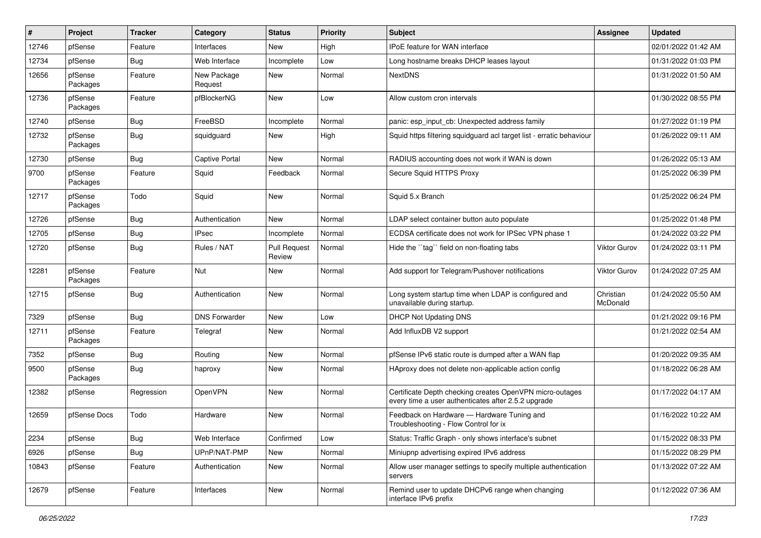| $\#$  | Project             | <b>Tracker</b> | Category               | <b>Status</b>                 | Priority | Subject                                                                                                         | <b>Assignee</b>       | <b>Updated</b>      |
|-------|---------------------|----------------|------------------------|-------------------------------|----------|-----------------------------------------------------------------------------------------------------------------|-----------------------|---------------------|
| 12746 | pfSense             | Feature        | Interfaces             | New                           | High     | IPoE feature for WAN interface                                                                                  |                       | 02/01/2022 01:42 AM |
| 12734 | pfSense             | Bug            | Web Interface          | Incomplete                    | Low      | Long hostname breaks DHCP leases layout                                                                         |                       | 01/31/2022 01:03 PM |
| 12656 | pfSense<br>Packages | Feature        | New Package<br>Request | New                           | Normal   | <b>NextDNS</b>                                                                                                  |                       | 01/31/2022 01:50 AM |
| 12736 | pfSense<br>Packages | Feature        | pfBlockerNG            | New                           | Low      | Allow custom cron intervals                                                                                     |                       | 01/30/2022 08:55 PM |
| 12740 | pfSense             | <b>Bug</b>     | FreeBSD                | Incomplete                    | Normal   | panic: esp input cb: Unexpected address family                                                                  |                       | 01/27/2022 01:19 PM |
| 12732 | pfSense<br>Packages | <b>Bug</b>     | squidguard             | New                           | High     | Squid https filtering squidguard acl target list - erratic behaviour                                            |                       | 01/26/2022 09:11 AM |
| 12730 | pfSense             | <b>Bug</b>     | <b>Captive Portal</b>  | New                           | Normal   | RADIUS accounting does not work if WAN is down                                                                  |                       | 01/26/2022 05:13 AM |
| 9700  | pfSense<br>Packages | Feature        | Squid                  | Feedback                      | Normal   | Secure Squid HTTPS Proxy                                                                                        |                       | 01/25/2022 06:39 PM |
| 12717 | pfSense<br>Packages | Todo           | Squid                  | New                           | Normal   | Squid 5.x Branch                                                                                                |                       | 01/25/2022 06:24 PM |
| 12726 | pfSense             | Bug            | Authentication         | New                           | Normal   | LDAP select container button auto populate                                                                      |                       | 01/25/2022 01:48 PM |
| 12705 | pfSense             | <b>Bug</b>     | <b>IPsec</b>           | Incomplete                    | Normal   | ECDSA certificate does not work for IPSec VPN phase 1                                                           |                       | 01/24/2022 03:22 PM |
| 12720 | pfSense             | Bug            | Rules / NAT            | <b>Pull Request</b><br>Review | Normal   | Hide the "tag" field on non-floating tabs                                                                       | <b>Viktor Gurov</b>   | 01/24/2022 03:11 PM |
| 12281 | pfSense<br>Packages | Feature        | Nut                    | New                           | Normal   | Add support for Telegram/Pushover notifications                                                                 | <b>Viktor Gurov</b>   | 01/24/2022 07:25 AM |
| 12715 | pfSense             | Bug            | Authentication         | New                           | Normal   | Long system startup time when LDAP is configured and<br>unavailable during startup.                             | Christian<br>McDonald | 01/24/2022 05:50 AM |
| 7329  | pfSense             | Bug            | <b>DNS Forwarder</b>   | New                           | Low      | <b>DHCP Not Updating DNS</b>                                                                                    |                       | 01/21/2022 09:16 PM |
| 12711 | pfSense<br>Packages | Feature        | Telegraf               | New                           | Normal   | Add InfluxDB V2 support                                                                                         |                       | 01/21/2022 02:54 AM |
| 7352  | pfSense             | Bug            | Routing                | New                           | Normal   | pfSense IPv6 static route is dumped after a WAN flap                                                            |                       | 01/20/2022 09:35 AM |
| 9500  | pfSense<br>Packages | <b>Bug</b>     | haproxy                | New                           | Normal   | HAproxy does not delete non-applicable action config                                                            |                       | 01/18/2022 06:28 AM |
| 12382 | pfSense             | Regression     | OpenVPN                | New                           | Normal   | Certificate Depth checking creates OpenVPN micro-outages<br>every time a user authenticates after 2.5.2 upgrade |                       | 01/17/2022 04:17 AM |
| 12659 | pfSense Docs        | Todo           | Hardware               | New                           | Normal   | Feedback on Hardware - Hardware Tuning and<br>Troubleshooting - Flow Control for ix                             |                       | 01/16/2022 10:22 AM |
| 2234  | pfSense             | Bug            | Web Interface          | Confirmed                     | Low      | Status: Traffic Graph - only shows interface's subnet                                                           |                       | 01/15/2022 08:33 PM |
| 6926  | pfSense             | <b>Bug</b>     | UPnP/NAT-PMP           | New                           | Normal   | Miniupnp advertising expired IPv6 address                                                                       |                       | 01/15/2022 08:29 PM |
| 10843 | pfSense             | Feature        | Authentication         | New                           | Normal   | Allow user manager settings to specify multiple authentication<br>servers                                       |                       | 01/13/2022 07:22 AM |
| 12679 | pfSense             | Feature        | Interfaces             | New                           | Normal   | Remind user to update DHCPv6 range when changing<br>interface IPv6 prefix                                       |                       | 01/12/2022 07:36 AM |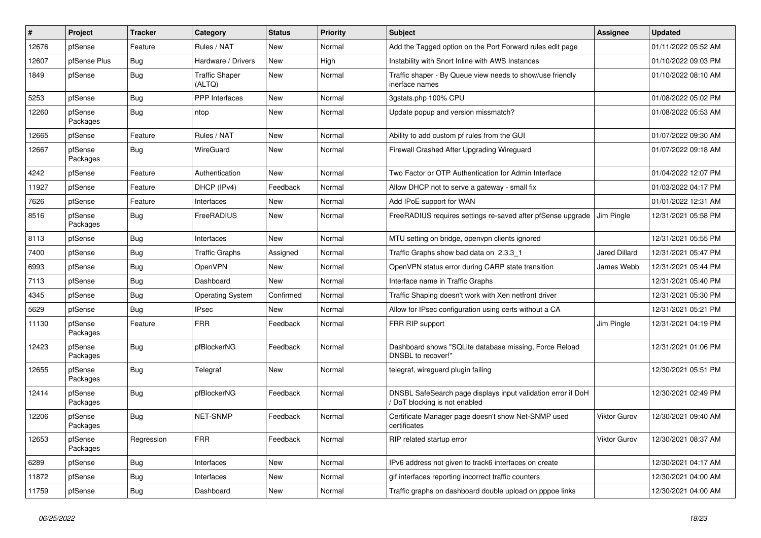| #     | Project             | <b>Tracker</b> | Category                        | <b>Status</b> | <b>Priority</b> | <b>Subject</b>                                                                              | Assignee            | <b>Updated</b>      |
|-------|---------------------|----------------|---------------------------------|---------------|-----------------|---------------------------------------------------------------------------------------------|---------------------|---------------------|
| 12676 | pfSense             | Feature        | Rules / NAT                     | New           | Normal          | Add the Tagged option on the Port Forward rules edit page                                   |                     | 01/11/2022 05:52 AM |
| 12607 | pfSense Plus        | Bug            | Hardware / Drivers              | New           | High            | Instability with Snort Inline with AWS Instances                                            |                     | 01/10/2022 09:03 PM |
| 1849  | pfSense             | Bug            | <b>Traffic Shaper</b><br>(ALTQ) | New           | Normal          | Traffic shaper - By Queue view needs to show/use friendly<br>inerface names                 |                     | 01/10/2022 08:10 AM |
| 5253  | pfSense             | <b>Bug</b>     | PPP Interfaces                  | New           | Normal          | 3gstats.php 100% CPU                                                                        |                     | 01/08/2022 05:02 PM |
| 12260 | pfSense<br>Packages | Bug            | ntop                            | New           | Normal          | Update popup and version missmatch?                                                         |                     | 01/08/2022 05:53 AM |
| 12665 | pfSense             | Feature        | Rules / NAT                     | New           | Normal          | Ability to add custom pf rules from the GUI                                                 |                     | 01/07/2022 09:30 AM |
| 12667 | pfSense<br>Packages | Bug            | WireGuard                       | New           | Normal          | Firewall Crashed After Upgrading Wireguard                                                  |                     | 01/07/2022 09:18 AM |
| 4242  | pfSense             | Feature        | Authentication                  | New           | Normal          | Two Factor or OTP Authentication for Admin Interface                                        |                     | 01/04/2022 12:07 PM |
| 11927 | pfSense             | Feature        | DHCP (IPv4)                     | Feedback      | Normal          | Allow DHCP not to serve a gateway - small fix                                               |                     | 01/03/2022 04:17 PM |
| 7626  | pfSense             | Feature        | Interfaces                      | New           | Normal          | Add IPoE support for WAN                                                                    |                     | 01/01/2022 12:31 AM |
| 8516  | pfSense<br>Packages | Bug            | FreeRADIUS                      | New           | Normal          | FreeRADIUS requires settings re-saved after pfSense upgrade                                 | Jim Pingle          | 12/31/2021 05:58 PM |
| 8113  | pfSense             | Bug            | Interfaces                      | New           | Normal          | MTU setting on bridge, openvpn clients ignored                                              |                     | 12/31/2021 05:55 PM |
| 7400  | pfSense             | Bug            | <b>Traffic Graphs</b>           | Assigned      | Normal          | Traffic Graphs show bad data on 2.3.3 1                                                     | Jared Dillard       | 12/31/2021 05:47 PM |
| 6993  | pfSense             | <b>Bug</b>     | <b>OpenVPN</b>                  | New           | Normal          | OpenVPN status error during CARP state transition                                           | James Webb          | 12/31/2021 05:44 PM |
| 7113  | pfSense             | Bug            | Dashboard                       | New           | Normal          | Interface name in Traffic Graphs                                                            |                     | 12/31/2021 05:40 PM |
| 4345  | pfSense             | Bug            | <b>Operating System</b>         | Confirmed     | Normal          | Traffic Shaping doesn't work with Xen netfront driver                                       |                     | 12/31/2021 05:30 PM |
| 5629  | pfSense             | Bug            | <b>IPsec</b>                    | New           | Normal          | Allow for IPsec configuration using certs without a CA                                      |                     | 12/31/2021 05:21 PM |
| 11130 | pfSense<br>Packages | Feature        | <b>FRR</b>                      | Feedback      | Normal          | FRR RIP support                                                                             | Jim Pingle          | 12/31/2021 04:19 PM |
| 12423 | pfSense<br>Packages | <b>Bug</b>     | pfBlockerNG                     | Feedback      | Normal          | Dashboard shows "SQLite database missing, Force Reload<br>DNSBL to recover!"                |                     | 12/31/2021 01:06 PM |
| 12655 | pfSense<br>Packages | Bug            | Telegraf                        | New           | Normal          | telegraf, wireguard plugin failing                                                          |                     | 12/30/2021 05:51 PM |
| 12414 | pfSense<br>Packages | <b>Bug</b>     | pfBlockerNG                     | Feedback      | Normal          | DNSBL SafeSearch page displays input validation error if DoH<br>DoT blocking is not enabled |                     | 12/30/2021 02:49 PM |
| 12206 | pfSense<br>Packages | <b>Bug</b>     | NET-SNMP                        | Feedback      | Normal          | Certificate Manager page doesn't show Net-SNMP used<br>certificates                         | Viktor Gurov        | 12/30/2021 09:40 AM |
| 12653 | pfSense<br>Packages | Regression     | <b>FRR</b>                      | Feedback      | Normal          | RIP related startup error                                                                   | <b>Viktor Gurov</b> | 12/30/2021 08:37 AM |
| 6289  | pfSense             | Bug            | Interfaces                      | New           | Normal          | IPv6 address not given to track6 interfaces on create                                       |                     | 12/30/2021 04:17 AM |
| 11872 | pfSense             | <b>Bug</b>     | Interfaces                      | New           | Normal          | gif interfaces reporting incorrect traffic counters                                         |                     | 12/30/2021 04:00 AM |
| 11759 | pfSense             | Bug            | Dashboard                       | New           | Normal          | Traffic graphs on dashboard double upload on pppoe links                                    |                     | 12/30/2021 04:00 AM |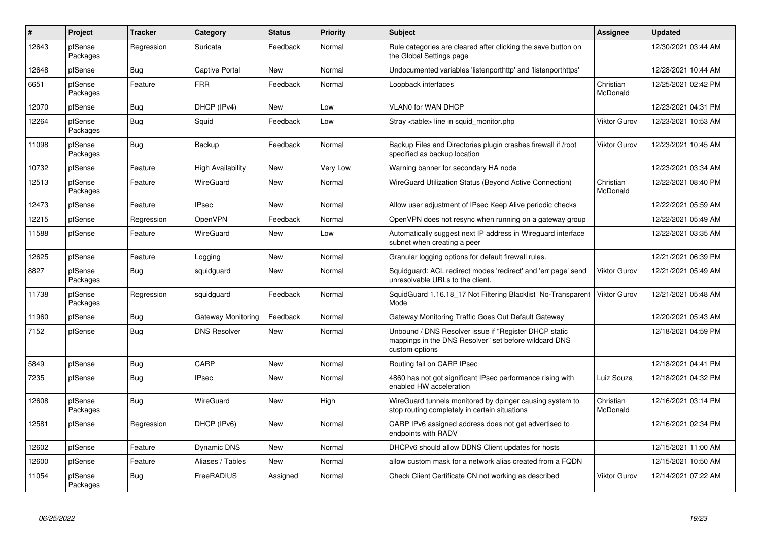| $\vert$ # | Project             | <b>Tracker</b> | Category                 | <b>Status</b> | <b>Priority</b> | <b>Subject</b>                                                                                                                   | <b>Assignee</b>       | <b>Updated</b>      |
|-----------|---------------------|----------------|--------------------------|---------------|-----------------|----------------------------------------------------------------------------------------------------------------------------------|-----------------------|---------------------|
| 12643     | pfSense<br>Packages | Regression     | Suricata                 | Feedback      | Normal          | Rule categories are cleared after clicking the save button on<br>the Global Settings page                                        |                       | 12/30/2021 03:44 AM |
| 12648     | pfSense             | Bug            | <b>Captive Portal</b>    | <b>New</b>    | Normal          | Undocumented variables 'listenporthttp' and 'listenporthttps'                                                                    |                       | 12/28/2021 10:44 AM |
| 6651      | pfSense<br>Packages | Feature        | <b>FRR</b>               | Feedback      | Normal          | Loopback interfaces                                                                                                              | Christian<br>McDonald | 12/25/2021 02:42 PM |
| 12070     | pfSense             | Bug            | DHCP (IPv4)              | New           | Low             | VLAN0 for WAN DHCP                                                                                                               |                       | 12/23/2021 04:31 PM |
| 12264     | pfSense<br>Packages | Bug            | Squid                    | Feedback      | Low             | Stray <table> line in squid_monitor.php</table>                                                                                  | Viktor Gurov          | 12/23/2021 10:53 AM |
| 11098     | pfSense<br>Packages | <b>Bug</b>     | Backup                   | Feedback      | Normal          | Backup Files and Directories plugin crashes firewall if /root<br>specified as backup location                                    | Viktor Gurov          | 12/23/2021 10:45 AM |
| 10732     | pfSense             | Feature        | <b>High Availability</b> | New           | Very Low        | Warning banner for secondary HA node                                                                                             |                       | 12/23/2021 03:34 AM |
| 12513     | pfSense<br>Packages | Feature        | WireGuard                | New           | Normal          | WireGuard Utilization Status (Beyond Active Connection)                                                                          | Christian<br>McDonald | 12/22/2021 08:40 PM |
| 12473     | pfSense             | Feature        | <b>IPsec</b>             | New           | Normal          | Allow user adjustment of IPsec Keep Alive periodic checks                                                                        |                       | 12/22/2021 05:59 AM |
| 12215     | pfSense             | Regression     | <b>OpenVPN</b>           | Feedback      | Normal          | OpenVPN does not resync when running on a gateway group                                                                          |                       | 12/22/2021 05:49 AM |
| 11588     | pfSense             | Feature        | <b>WireGuard</b>         | <b>New</b>    | Low             | Automatically suggest next IP address in Wireguard interface<br>subnet when creating a peer                                      |                       | 12/22/2021 03:35 AM |
| 12625     | pfSense             | Feature        | Logging                  | <b>New</b>    | Normal          | Granular logging options for default firewall rules.                                                                             |                       | 12/21/2021 06:39 PM |
| 8827      | pfSense<br>Packages | Bug            | squidguard               | New           | Normal          | Squidguard: ACL redirect modes 'redirect' and 'err page' send<br>unresolvable URLs to the client.                                | Viktor Gurov          | 12/21/2021 05:49 AM |
| 11738     | pfSense<br>Packages | Regression     | squidguard               | Feedback      | Normal          | SquidGuard 1.16.18 17 Not Filtering Blacklist No-Transparent<br>Mode                                                             | <b>Viktor Gurov</b>   | 12/21/2021 05:48 AM |
| 11960     | pfSense             | <b>Bug</b>     | Gateway Monitoring       | Feedback      | Normal          | Gateway Monitoring Traffic Goes Out Default Gateway                                                                              |                       | 12/20/2021 05:43 AM |
| 7152      | pfSense             | Bug            | <b>DNS Resolver</b>      | <b>New</b>    | Normal          | Unbound / DNS Resolver issue if "Register DHCP static<br>mappings in the DNS Resolver" set before wildcard DNS<br>custom options |                       | 12/18/2021 04:59 PM |
| 5849      | pfSense             | Bug            | CARP                     | <b>New</b>    | Normal          | Routing fail on CARP IPsec                                                                                                       |                       | 12/18/2021 04:41 PM |
| 7235      | pfSense             | <b>Bug</b>     | <b>IPsec</b>             | <b>New</b>    | Normal          | 4860 has not got significant IPsec performance rising with<br>enabled HW acceleration                                            | Luiz Souza            | 12/18/2021 04:32 PM |
| 12608     | pfSense<br>Packages | Bug            | <b>WireGuard</b>         | <b>New</b>    | High            | WireGuard tunnels monitored by dpinger causing system to<br>stop routing completely in certain situations                        | Christian<br>McDonald | 12/16/2021 03:14 PM |
| 12581     | pfSense             | Regression     | DHCP (IPv6)              | <b>New</b>    | Normal          | CARP IPv6 assigned address does not get advertised to<br>endpoints with RADV                                                     |                       | 12/16/2021 02:34 PM |
| 12602     | pfSense             | Feature        | <b>Dynamic DNS</b>       | <b>New</b>    | Normal          | DHCPv6 should allow DDNS Client updates for hosts                                                                                |                       | 12/15/2021 11:00 AM |
| 12600     | pfSense             | Feature        | Aliases / Tables         | New           | Normal          | allow custom mask for a network alias created from a FQDN                                                                        |                       | 12/15/2021 10:50 AM |
| 11054     | pfSense<br>Packages | <b>Bug</b>     | FreeRADIUS               | Assigned      | Normal          | Check Client Certificate CN not working as described                                                                             | Viktor Gurov          | 12/14/2021 07:22 AM |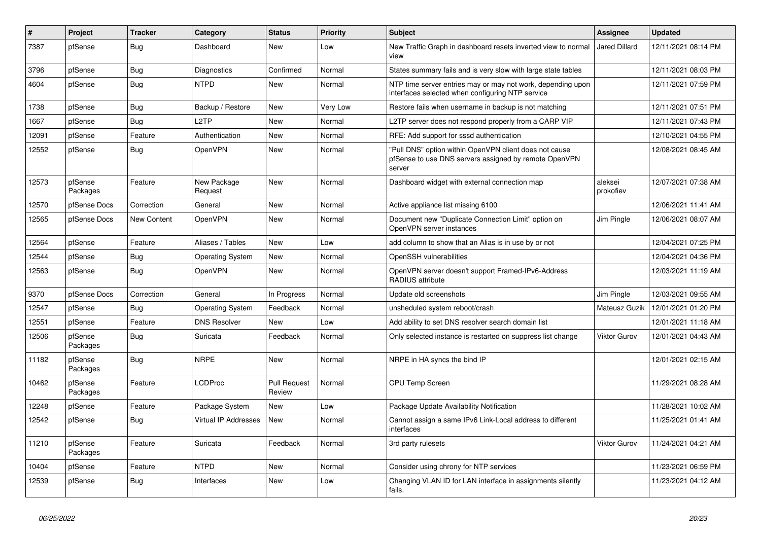| #     | Project             | <b>Tracker</b>     | Category                | <b>Status</b>                 | Priority | <b>Subject</b>                                                                                                            | <b>Assignee</b>      | <b>Updated</b>      |
|-------|---------------------|--------------------|-------------------------|-------------------------------|----------|---------------------------------------------------------------------------------------------------------------------------|----------------------|---------------------|
| 7387  | pfSense             | <b>Bug</b>         | Dashboard               | <b>New</b>                    | Low      | New Traffic Graph in dashboard resets inverted view to normal<br>view                                                     | <b>Jared Dillard</b> | 12/11/2021 08:14 PM |
| 3796  | pfSense             | Bug                | Diagnostics             | Confirmed                     | Normal   | States summary fails and is very slow with large state tables                                                             |                      | 12/11/2021 08:03 PM |
| 4604  | pfSense             | Bug                | <b>NTPD</b>             | New                           | Normal   | NTP time server entries may or may not work, depending upon<br>interfaces selected when configuring NTP service           |                      | 12/11/2021 07:59 PM |
| 1738  | pfSense             | Bug                | Backup / Restore        | <b>New</b>                    | Very Low | Restore fails when username in backup is not matching                                                                     |                      | 12/11/2021 07:51 PM |
| 1667  | pfSense             | Bug                | L <sub>2</sub> TP       | <b>New</b>                    | Normal   | L2TP server does not respond properly from a CARP VIP                                                                     |                      | 12/11/2021 07:43 PM |
| 12091 | pfSense             | Feature            | Authentication          | New                           | Normal   | RFE: Add support for sssd authentication                                                                                  |                      | 12/10/2021 04:55 PM |
| 12552 | pfSense             | Bug                | <b>OpenVPN</b>          | New                           | Normal   | "Pull DNS" option within OpenVPN client does not cause<br>pfSense to use DNS servers assigned by remote OpenVPN<br>server |                      | 12/08/2021 08:45 AM |
| 12573 | pfSense<br>Packages | Feature            | New Package<br>Request  | <b>New</b>                    | Normal   | Dashboard widget with external connection map                                                                             | aleksei<br>prokofiev | 12/07/2021 07:38 AM |
| 12570 | pfSense Docs        | Correction         | General                 | <b>New</b>                    | Normal   | Active appliance list missing 6100                                                                                        |                      | 12/06/2021 11:41 AM |
| 12565 | pfSense Docs        | <b>New Content</b> | <b>OpenVPN</b>          | New                           | Normal   | Document new "Duplicate Connection Limit" option on<br>OpenVPN server instances                                           | Jim Pingle           | 12/06/2021 08:07 AM |
| 12564 | pfSense             | Feature            | Aliases / Tables        | <b>New</b>                    | Low      | add column to show that an Alias is in use by or not                                                                      |                      | 12/04/2021 07:25 PM |
| 12544 | pfSense             | <b>Bug</b>         | <b>Operating System</b> | <b>New</b>                    | Normal   | OpenSSH vulnerabilities                                                                                                   |                      | 12/04/2021 04:36 PM |
| 12563 | pfSense             | <b>Bug</b>         | <b>OpenVPN</b>          | <b>New</b>                    | Normal   | OpenVPN server doesn't support Framed-IPv6-Address<br><b>RADIUS attribute</b>                                             |                      | 12/03/2021 11:19 AM |
| 9370  | pfSense Docs        | Correction         | General                 | In Progress                   | Normal   | Update old screenshots                                                                                                    | Jim Pingle           | 12/03/2021 09:55 AM |
| 12547 | pfSense             | Bug                | <b>Operating System</b> | Feedback                      | Normal   | unsheduled system reboot/crash                                                                                            | Mateusz Guzik        | 12/01/2021 01:20 PM |
| 12551 | pfSense             | Feature            | <b>DNS Resolver</b>     | <b>New</b>                    | Low      | Add ability to set DNS resolver search domain list                                                                        |                      | 12/01/2021 11:18 AM |
| 12506 | pfSense<br>Packages | <b>Bug</b>         | Suricata                | Feedback                      | Normal   | Only selected instance is restarted on suppress list change                                                               | Viktor Gurov         | 12/01/2021 04:43 AM |
| 11182 | pfSense<br>Packages | Bug                | <b>NRPE</b>             | <b>New</b>                    | Normal   | NRPE in HA syncs the bind IP                                                                                              |                      | 12/01/2021 02:15 AM |
| 10462 | pfSense<br>Packages | Feature            | <b>LCDProc</b>          | <b>Pull Request</b><br>Review | Normal   | <b>CPU Temp Screen</b>                                                                                                    |                      | 11/29/2021 08:28 AM |
| 12248 | pfSense             | Feature            | Package System          | <b>New</b>                    | Low      | Package Update Availability Notification                                                                                  |                      | 11/28/2021 10:02 AM |
| 12542 | pfSense             | <b>Bug</b>         | Virtual IP Addresses    | <b>New</b>                    | Normal   | Cannot assign a same IPv6 Link-Local address to different<br>interfaces                                                   |                      | 11/25/2021 01:41 AM |
| 11210 | pfSense<br>Packages | Feature            | Suricata                | Feedback                      | Normal   | 3rd party rulesets                                                                                                        | <b>Viktor Gurov</b>  | 11/24/2021 04:21 AM |
| 10404 | pfSense             | Feature            | <b>NTPD</b>             | <b>New</b>                    | Normal   | Consider using chrony for NTP services                                                                                    |                      | 11/23/2021 06:59 PM |
| 12539 | pfSense             | <b>Bug</b>         | Interfaces              | New                           | Low      | Changing VLAN ID for LAN interface in assignments silently<br>fails.                                                      |                      | 11/23/2021 04:12 AM |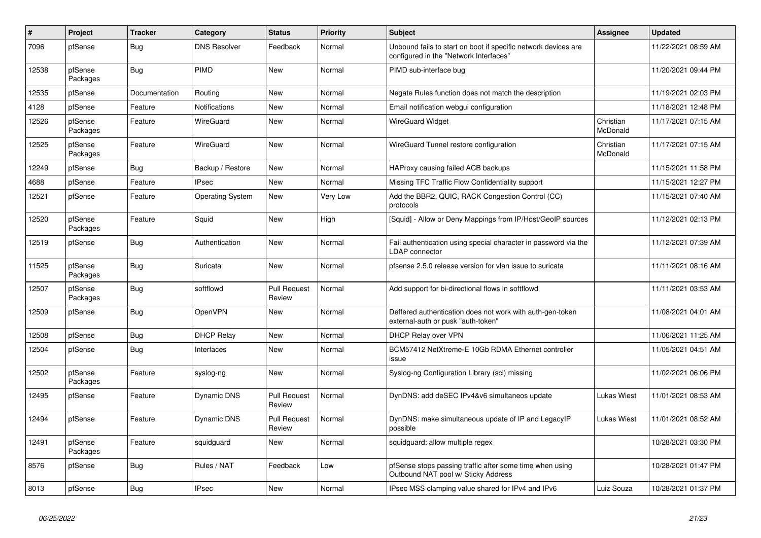| #     | Project             | <b>Tracker</b> | Category                | <b>Status</b>                 | Priority        | <b>Subject</b>                                                                                           | <b>Assignee</b>       | <b>Updated</b>      |
|-------|---------------------|----------------|-------------------------|-------------------------------|-----------------|----------------------------------------------------------------------------------------------------------|-----------------------|---------------------|
| 7096  | pfSense             | Bug            | <b>DNS Resolver</b>     | Feedback                      | Normal          | Unbound fails to start on boot if specific network devices are<br>configured in the "Network Interfaces" |                       | 11/22/2021 08:59 AM |
| 12538 | pfSense<br>Packages | <b>Bug</b>     | PIMD                    | <b>New</b>                    | Normal          | PIMD sub-interface bug                                                                                   |                       | 11/20/2021 09:44 PM |
| 12535 | pfSense             | Documentation  | Routing                 | <b>New</b>                    | Normal          | Negate Rules function does not match the description                                                     |                       | 11/19/2021 02:03 PM |
| 4128  | pfSense             | Feature        | Notifications           | New                           | Normal          | Email notification webgui configuration                                                                  |                       | 11/18/2021 12:48 PM |
| 12526 | pfSense<br>Packages | Feature        | <b>WireGuard</b>        | <b>New</b>                    | Normal          | WireGuard Widget                                                                                         | Christian<br>McDonald | 11/17/2021 07:15 AM |
| 12525 | pfSense<br>Packages | Feature        | <b>WireGuard</b>        | <b>New</b>                    | Normal          | WireGuard Tunnel restore configuration                                                                   | Christian<br>McDonald | 11/17/2021 07:15 AM |
| 12249 | pfSense             | Bug            | Backup / Restore        | <b>New</b>                    | Normal          | HAProxy causing failed ACB backups                                                                       |                       | 11/15/2021 11:58 PM |
| 4688  | pfSense             | Feature        | <b>IPsec</b>            | <b>New</b>                    | Normal          | Missing TFC Traffic Flow Confidentiality support                                                         |                       | 11/15/2021 12:27 PM |
| 12521 | pfSense             | Feature        | <b>Operating System</b> | New                           | <b>Very Low</b> | Add the BBR2, QUIC, RACK Congestion Control (CC)<br>protocols                                            |                       | 11/15/2021 07:40 AM |
| 12520 | pfSense<br>Packages | Feature        | Squid                   | <b>New</b>                    | High            | [Squid] - Allow or Deny Mappings from IP/Host/GeoIP sources                                              |                       | 11/12/2021 02:13 PM |
| 12519 | pfSense             | <b>Bug</b>     | Authentication          | <b>New</b>                    | Normal          | Fail authentication using special character in password via the<br>LDAP connector                        |                       | 11/12/2021 07:39 AM |
| 11525 | pfSense<br>Packages | Bug            | Suricata                | <b>New</b>                    | Normal          | pfsense 2.5.0 release version for vlan issue to suricata                                                 |                       | 11/11/2021 08:16 AM |
| 12507 | pfSense<br>Packages | <b>Bug</b>     | softflowd               | <b>Pull Request</b><br>Review | Normal          | Add support for bi-directional flows in softflowd                                                        |                       | 11/11/2021 03:53 AM |
| 12509 | pfSense             | Bug            | <b>OpenVPN</b>          | <b>New</b>                    | Normal          | Deffered authentication does not work with auth-gen-token<br>external-auth or pusk "auth-token"          |                       | 11/08/2021 04:01 AM |
| 12508 | pfSense             | Bug            | <b>DHCP Relay</b>       | <b>New</b>                    | Normal          | DHCP Relay over VPN                                                                                      |                       | 11/06/2021 11:25 AM |
| 12504 | pfSense             | Bug            | Interfaces              | <b>New</b>                    | Normal          | BCM57412 NetXtreme-E 10Gb RDMA Ethernet controller<br>issue                                              |                       | 11/05/2021 04:51 AM |
| 12502 | pfSense<br>Packages | Feature        | syslog-ng               | New                           | Normal          | Syslog-ng Configuration Library (scl) missing                                                            |                       | 11/02/2021 06:06 PM |
| 12495 | pfSense             | Feature        | Dynamic DNS             | <b>Pull Request</b><br>Review | Normal          | DynDNS: add deSEC IPv4&v6 simultaneos update                                                             | Lukas Wiest           | 11/01/2021 08:53 AM |
| 12494 | pfSense             | Feature        | Dynamic DNS             | <b>Pull Request</b><br>Review | Normal          | DynDNS: make simultaneous update of IP and LegacyIP<br>possible                                          | Lukas Wiest           | 11/01/2021 08:52 AM |
| 12491 | pfSense<br>Packages | Feature        | squidguard              | <b>New</b>                    | Normal          | squidguard: allow multiple regex                                                                         |                       | 10/28/2021 03:30 PM |
| 8576  | pfSense             | Bug            | Rules / NAT             | Feedback                      | Low             | pfSense stops passing traffic after some time when using<br>Outbound NAT pool w/ Sticky Address          |                       | 10/28/2021 01:47 PM |
| 8013  | pfSense             | <b>Bug</b>     | <b>IPsec</b>            | <b>New</b>                    | Normal          | IPsec MSS clamping value shared for IPv4 and IPv6                                                        | Luiz Souza            | 10/28/2021 01:37 PM |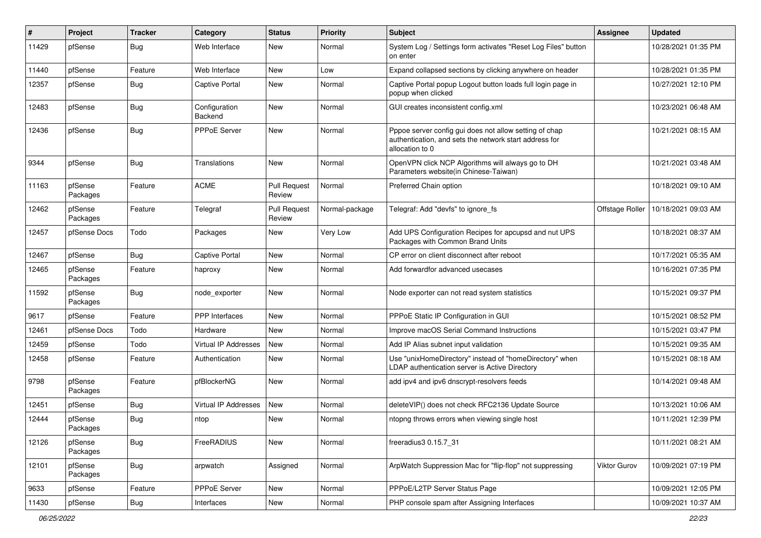| #     | Project             | <b>Tracker</b> | Category                 | <b>Status</b>                 | Priority       | Subject                                                                                                                             | <b>Assignee</b> | <b>Updated</b>      |
|-------|---------------------|----------------|--------------------------|-------------------------------|----------------|-------------------------------------------------------------------------------------------------------------------------------------|-----------------|---------------------|
| 11429 | pfSense             | <b>Bug</b>     | Web Interface            | New                           | Normal         | System Log / Settings form activates "Reset Log Files" button<br>on enter                                                           |                 | 10/28/2021 01:35 PM |
| 11440 | pfSense             | Feature        | Web Interface            | New                           | Low            | Expand collapsed sections by clicking anywhere on header                                                                            |                 | 10/28/2021 01:35 PM |
| 12357 | pfSense             | Bug            | <b>Captive Portal</b>    | New                           | Normal         | Captive Portal popup Logout button loads full login page in<br>popup when clicked                                                   |                 | 10/27/2021 12:10 PM |
| 12483 | pfSense             | Bug            | Configuration<br>Backend | New                           | Normal         | GUI creates inconsistent config.xml                                                                                                 |                 | 10/23/2021 06:48 AM |
| 12436 | pfSense             | <b>Bug</b>     | PPPoE Server             | New                           | Normal         | Pppoe server config gui does not allow setting of chap<br>authentication, and sets the network start address for<br>allocation to 0 |                 | 10/21/2021 08:15 AM |
| 9344  | pfSense             | Bug            | Translations             | New                           | Normal         | OpenVPN click NCP Algorithms will always go to DH<br>Parameters website(in Chinese-Taiwan)                                          |                 | 10/21/2021 03:48 AM |
| 11163 | pfSense<br>Packages | Feature        | <b>ACME</b>              | <b>Pull Request</b><br>Review | Normal         | Preferred Chain option                                                                                                              |                 | 10/18/2021 09:10 AM |
| 12462 | pfSense<br>Packages | Feature        | Telegraf                 | <b>Pull Request</b><br>Review | Normal-package | Telegraf: Add "devfs" to ignore_fs                                                                                                  | Offstage Roller | 10/18/2021 09:03 AM |
| 12457 | pfSense Docs        | Todo           | Packages                 | New                           | Very Low       | Add UPS Configuration Recipes for apcupsd and nut UPS<br>Packages with Common Brand Units                                           |                 | 10/18/2021 08:37 AM |
| 12467 | pfSense             | Bug            | <b>Captive Portal</b>    | New                           | Normal         | CP error on client disconnect after reboot                                                                                          |                 | 10/17/2021 05:35 AM |
| 12465 | pfSense<br>Packages | Feature        | haproxy                  | New                           | Normal         | Add forwardfor advanced usecases                                                                                                    |                 | 10/16/2021 07:35 PM |
| 11592 | pfSense<br>Packages | Bug            | node_exporter            | New                           | Normal         | Node exporter can not read system statistics                                                                                        |                 | 10/15/2021 09:37 PM |
| 9617  | pfSense             | Feature        | <b>PPP</b> Interfaces    | New                           | Normal         | PPPoE Static IP Configuration in GUI                                                                                                |                 | 10/15/2021 08:52 PM |
| 12461 | pfSense Docs        | Todo           | Hardware                 | New                           | Normal         | Improve macOS Serial Command Instructions                                                                                           |                 | 10/15/2021 03:47 PM |
| 12459 | pfSense             | Todo           | Virtual IP Addresses     | <b>New</b>                    | Normal         | Add IP Alias subnet input validation                                                                                                |                 | 10/15/2021 09:35 AM |
| 12458 | pfSense             | Feature        | Authentication           | New                           | Normal         | Use "unixHomeDirectory" instead of "homeDirectory" when<br>LDAP authentication server is Active Directory                           |                 | 10/15/2021 08:18 AM |
| 9798  | pfSense<br>Packages | Feature        | pfBlockerNG              | New                           | Normal         | add ipv4 and ipv6 dnscrypt-resolvers feeds                                                                                          |                 | 10/14/2021 09:48 AM |
| 12451 | pfSense             | Bug            | Virtual IP Addresses     | New                           | Normal         | deleteVIP() does not check RFC2136 Update Source                                                                                    |                 | 10/13/2021 10:06 AM |
| 12444 | pfSense<br>Packages | Bug            | ntop                     | New                           | Normal         | ntopng throws errors when viewing single host                                                                                       |                 | 10/11/2021 12:39 PM |
| 12126 | pfSense<br>Packages | Bug            | FreeRADIUS               | New                           | Normal         | freeradius3 0.15.7 31                                                                                                               |                 | 10/11/2021 08:21 AM |
| 12101 | pfSense<br>Packages | Bug            | arpwatch                 | Assigned                      | Normal         | ArpWatch Suppression Mac for "flip-flop" not suppressing                                                                            | Viktor Gurov    | 10/09/2021 07:19 PM |
| 9633  | pfSense             | Feature        | PPPoE Server             | New                           | Normal         | PPPoE/L2TP Server Status Page                                                                                                       |                 | 10/09/2021 12:05 PM |
| 11430 | pfSense             | Bug            | Interfaces               | New                           | Normal         | PHP console spam after Assigning Interfaces                                                                                         |                 | 10/09/2021 10:37 AM |